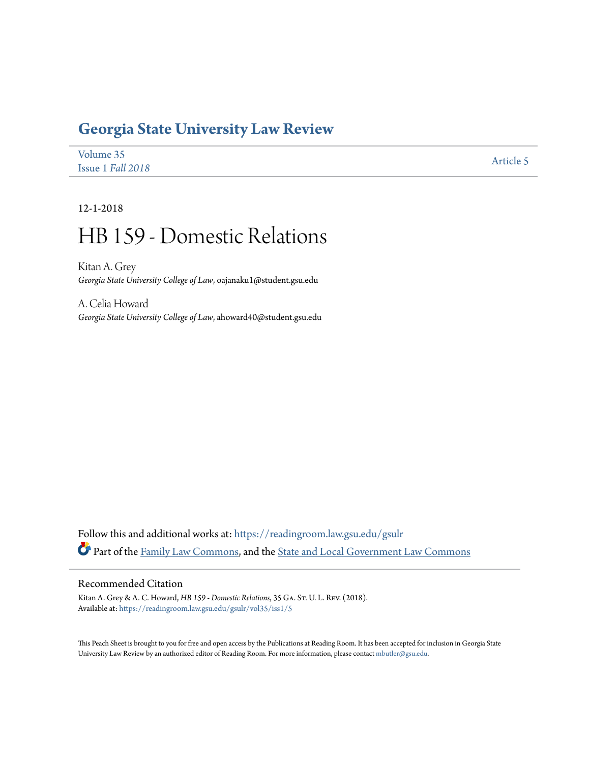# **[Georgia State University Law Review](https://readingroom.law.gsu.edu/gsulr?utm_source=readingroom.law.gsu.edu%2Fgsulr%2Fvol35%2Fiss1%2F5&utm_medium=PDF&utm_campaign=PDFCoverPages)**

| Volume 35         | Article 5 |
|-------------------|-----------|
| Issue 1 Fall 2018 |           |

12-1-2018

# HB 159 - Domestic Relations

Kitan A. Grey *Georgia State University College of Law*, oajanaku1@student.gsu.edu

A. Celia Howard *Georgia State University College of Law*, ahoward40@student.gsu.edu

Follow this and additional works at: [https://readingroom.law.gsu.edu/gsulr](https://readingroom.law.gsu.edu/gsulr?utm_source=readingroom.law.gsu.edu%2Fgsulr%2Fvol35%2Fiss1%2F5&utm_medium=PDF&utm_campaign=PDFCoverPages) Part of the [Family Law Commons,](http://network.bepress.com/hgg/discipline/602?utm_source=readingroom.law.gsu.edu%2Fgsulr%2Fvol35%2Fiss1%2F5&utm_medium=PDF&utm_campaign=PDFCoverPages) and the [State and Local Government Law Commons](http://network.bepress.com/hgg/discipline/879?utm_source=readingroom.law.gsu.edu%2Fgsulr%2Fvol35%2Fiss1%2F5&utm_medium=PDF&utm_campaign=PDFCoverPages)

# Recommended Citation

Kitan A. Grey & A. C. Howard, *HB 159 - Domestic Relations*, 35 GA. St. U. L. Rev. (2018). Available at: [https://readingroom.law.gsu.edu/gsulr/vol35/iss1/5](https://readingroom.law.gsu.edu/gsulr/vol35/iss1/5?utm_source=readingroom.law.gsu.edu%2Fgsulr%2Fvol35%2Fiss1%2F5&utm_medium=PDF&utm_campaign=PDFCoverPages)

This Peach Sheet is brought to you for free and open access by the Publications at Reading Room. It has been accepted for inclusion in Georgia State University Law Review by an authorized editor of Reading Room. For more information, please contact [mbutler@gsu.edu.](mailto:mbutler@gsu.edu)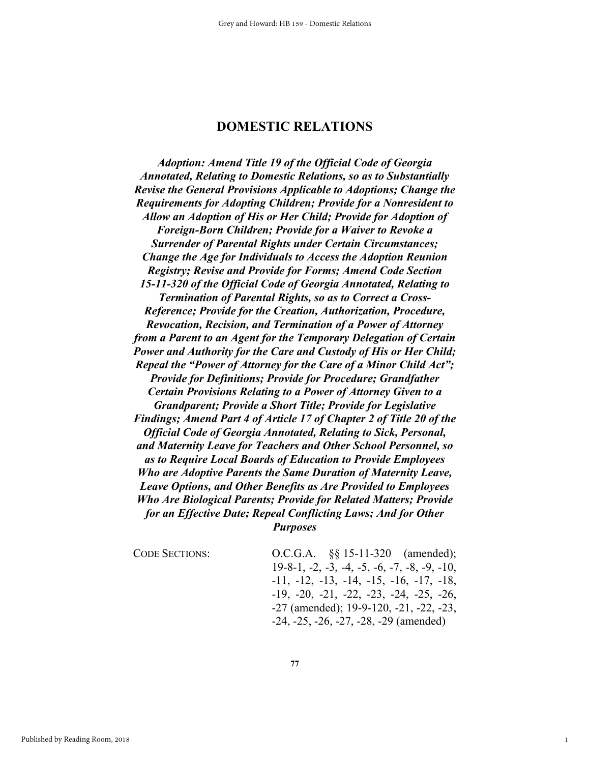# **DOMESTIC RELATIONS**

*Adoption: Amend Title 19 of the Official Code of Georgia Annotated, Relating to Domestic Relations, so as to Substantially Revise the General Provisions Applicable to Adoptions; Change the Requirements for Adopting Children; Provide for a Nonresident to Allow an Adoption of His or Her Child; Provide for Adoption of Foreign-Born Children; Provide for a Waiver to Revoke a Surrender of Parental Rights under Certain Circumstances; Change the Age for Individuals to Access the Adoption Reunion Registry; Revise and Provide for Forms; Amend Code Section 15-11-320 of the Official Code of Georgia Annotated, Relating to Termination of Parental Rights, so as to Correct a Cross-Reference; Provide for the Creation, Authorization, Procedure, Revocation, Recision, and Termination of a Power of Attorney from a Parent to an Agent for the Temporary Delegation of Certain Power and Authority for the Care and Custody of His or Her Child; Repeal the "Power of Attorney for the Care of a Minor Child Act"; Provide for Definitions; Provide for Procedure; Grandfather Certain Provisions Relating to a Power of Attorney Given to a Grandparent; Provide a Short Title; Provide for Legislative Findings; Amend Part 4 of Article 17 of Chapter 2 of Title 20 of the Official Code of Georgia Annotated, Relating to Sick, Personal, and Maternity Leave for Teachers and Other School Personnel, so as to Require Local Boards of Education to Provide Employees Who are Adoptive Parents the Same Duration of Maternity Leave, Leave Options, and Other Benefits as Are Provided to Employees Who Are Biological Parents; Provide for Related Matters; Provide for an Effective Date; Repeal Conflicting Laws; And for Other Purposes* 

CODE SECTIONS: 0.C.G.A. §§ 15-11-320 (amended); 19-8-1, -2, -3, -4, -5, -6, -7, -8, -9, -10, -11, -12, -13, -14, -15, -16, -17, -18, -19, -20, -21, -22, -23, -24, -25, -26, -27 (amended); 19-9-120, -21, -22, -23, -24, -25, -26, -27, -28, -29 (amended)

1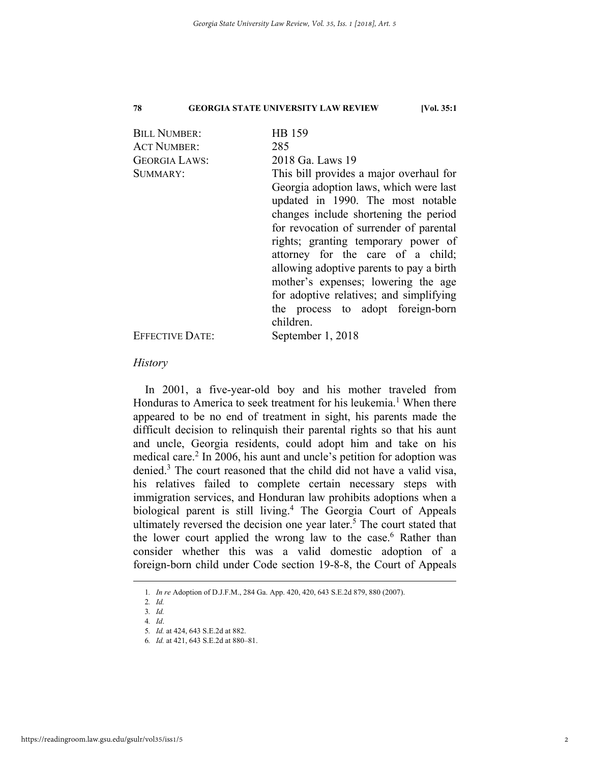| <b>BILL NUMBER:</b>    | HB 159                                   |
|------------------------|------------------------------------------|
| <b>ACT NUMBER:</b>     | 285                                      |
| <b>GEORGIA LAWS:</b>   | 2018 Ga. Laws 19                         |
| SUMMARY:               | This bill provides a major overhaul for  |
|                        | Georgia adoption laws, which were last   |
|                        | updated in 1990. The most notable        |
|                        | changes include shortening the period    |
|                        | for revocation of surrender of parental  |
|                        | rights; granting temporary power of      |
|                        | attorney for the care of a child;        |
|                        | allowing adoptive parents to pay a birth |
|                        | mother's expenses; lowering the age      |
|                        | for adoptive relatives; and simplifying  |
|                        | the process to adopt foreign-born        |
|                        | children.                                |
| <b>EFFECTIVE DATE:</b> | September 1, 2018                        |
|                        |                                          |

# *History*

In 2001, a five-year-old boy and his mother traveled from Honduras to America to seek treatment for his leukemia.<sup>1</sup> When there appeared to be no end of treatment in sight, his parents made the difficult decision to relinquish their parental rights so that his aunt and uncle, Georgia residents, could adopt him and take on his medical care.<sup>2</sup> In 2006, his aunt and uncle's petition for adoption was denied.<sup>3</sup> The court reasoned that the child did not have a valid visa, his relatives failed to complete certain necessary steps with immigration services, and Honduran law prohibits adoptions when a biological parent is still living.<sup>4</sup> The Georgia Court of Appeals ultimately reversed the decision one year later.<sup>5</sup> The court stated that the lower court applied the wrong law to the case.<sup>6</sup> Rather than consider whether this was a valid domestic adoption of a foreign-born child under Code section 19-8-8, the Court of Appeals

 <sup>1</sup>*. In re* Adoption of D.J.F.M., 284 Ga. App. 420, 420, 643 S.E.2d 879, 880 (2007).

<sup>2</sup>*. Id.* 3*. Id.*

<sup>4</sup>*. Id*.

<sup>5</sup>*. Id.* at 424, 643 S.E.2d at 882.

<sup>6</sup>*. Id.* at 421, 643 S.E.2d at 880–81.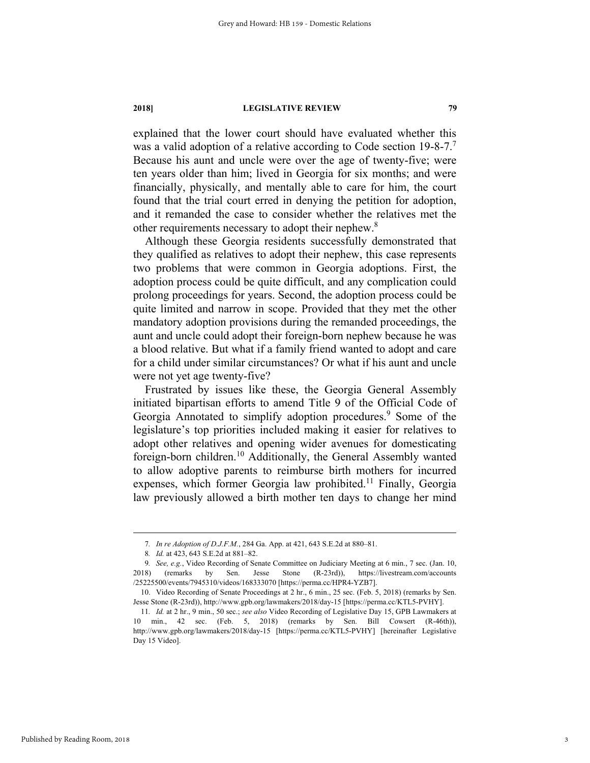explained that the lower court should have evaluated whether this was a valid adoption of a relative according to Code section 19-8-7.<sup>7</sup> Because his aunt and uncle were over the age of twenty-five; were ten years older than him; lived in Georgia for six months; and were financially, physically, and mentally able to care for him, the court found that the trial court erred in denying the petition for adoption, and it remanded the case to consider whether the relatives met the other requirements necessary to adopt their nephew.8

Although these Georgia residents successfully demonstrated that they qualified as relatives to adopt their nephew, this case represents two problems that were common in Georgia adoptions. First, the adoption process could be quite difficult, and any complication could prolong proceedings for years. Second, the adoption process could be quite limited and narrow in scope. Provided that they met the other mandatory adoption provisions during the remanded proceedings, the aunt and uncle could adopt their foreign-born nephew because he was a blood relative. But what if a family friend wanted to adopt and care for a child under similar circumstances? Or what if his aunt and uncle were not yet age twenty-five?

Frustrated by issues like these, the Georgia General Assembly initiated bipartisan efforts to amend Title 9 of the Official Code of Georgia Annotated to simplify adoption procedures.<sup>9</sup> Some of the legislature's top priorities included making it easier for relatives to adopt other relatives and opening wider avenues for domesticating foreign-born children.<sup>10</sup> Additionally, the General Assembly wanted to allow adoptive parents to reimburse birth mothers for incurred expenses, which former Georgia law prohibited.<sup>11</sup> Finally, Georgia law previously allowed a birth mother ten days to change her mind

 <sup>7</sup>*. In re Adoption of D.J.F.M.*, 284 Ga. App. at 421, 643 S.E.2d at 880–81.

<sup>8</sup>*. Id.* at 423, 643 S.E.2d at 881–82.

<sup>9</sup>*. See, e.g.*, Video Recording of Senate Committee on Judiciary Meeting at 6 min., 7 sec. (Jan. 10, 2018) (remarks by Sen. Jesse Stone (R-23rd)), https://livestream.com/accounts /25225500/events/7945310/videos/168333070 [https://perma.cc/HPR4-YZB7].

 <sup>10.</sup> Video Recording of Senate Proceedings at 2 hr., 6 min., 25 sec. (Feb. 5, 2018) (remarks by Sen. Jesse Stone (R-23rd)), http://www.gpb.org/lawmakers/2018/day-15 [https://perma.cc/KTL5-PVHY].

<sup>11</sup>*. Id.* at 2 hr., 9 min., 50 sec.; *see also* Video Recording of Legislative Day 15, GPB Lawmakers at 10 min., 42 sec. (Feb. 5, 2018) (remarks by Sen. Bill Cowsert (R-46th)), http://www.gpb.org/lawmakers/2018/day-15 [https://perma.cc/KTL5-PVHY] [hereinafter Legislative Day 15 Video].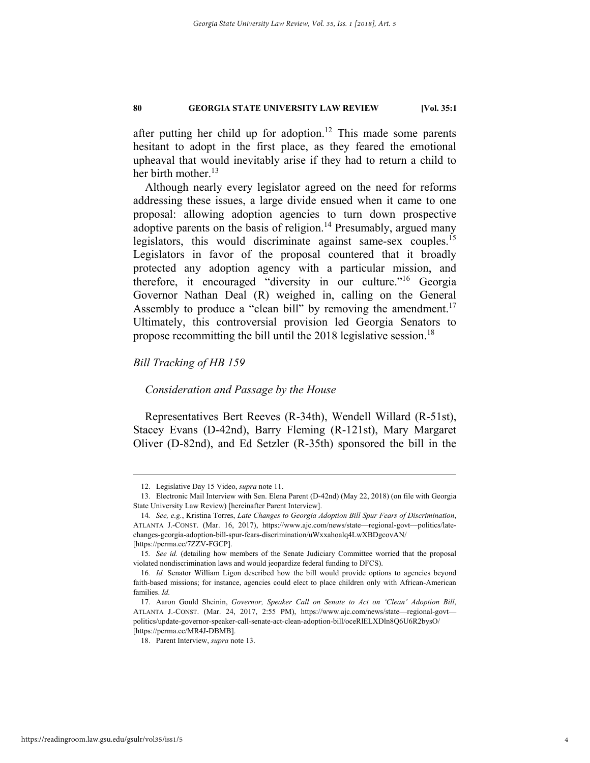after putting her child up for adoption.<sup>12</sup> This made some parents hesitant to adopt in the first place, as they feared the emotional upheaval that would inevitably arise if they had to return a child to her birth mother. $^{13}$ 

Although nearly every legislator agreed on the need for reforms addressing these issues, a large divide ensued when it came to one proposal: allowing adoption agencies to turn down prospective adoptive parents on the basis of religion.<sup>14</sup> Presumably, argued many legislators, this would discriminate against same-sex couples.15 Legislators in favor of the proposal countered that it broadly protected any adoption agency with a particular mission, and therefore, it encouraged "diversity in our culture."16 Georgia Governor Nathan Deal (R) weighed in, calling on the General Assembly to produce a "clean bill" by removing the amendment.<sup>17</sup> Ultimately, this controversial provision led Georgia Senators to propose recommitting the bill until the 2018 legislative session.<sup>18</sup>

# *Bill Tracking of HB 159*

## *Consideration and Passage by the House*

Representatives Bert Reeves (R-34th), Wendell Willard (R-51st), Stacey Evans (D-42nd), Barry Fleming (R-121st), Mary Margaret Oliver (D-82nd), and Ed Setzler (R-35th) sponsored the bill in the

 <sup>12.</sup> Legislative Day 15 Video, *supra* note 11.

 <sup>13.</sup> Electronic Mail Interview with Sen. Elena Parent (D-42nd) (May 22, 2018) (on file with Georgia State University Law Review) [hereinafter Parent Interview].

<sup>14</sup>*. See, e.g.*, Kristina Torres, *Late Changes to Georgia Adoption Bill Spur Fears of Discrimination*, ATLANTA J.-CONST. (Mar. 16, 2017), https://www.ajc.com/news/state—regional-govt—politics/latechanges-georgia-adoption-bill-spur-fears-discrimination/uWxxahoalq4LwXBDgcovAN/ [https://perma.cc/7ZZV-FGCP].

<sup>15</sup>*. See id.* (detailing how members of the Senate Judiciary Committee worried that the proposal violated nondiscrimination laws and would jeopardize federal funding to DFCS).

<sup>16</sup>*. Id.* Senator William Ligon described how the bill would provide options to agencies beyond faith-based missions; for instance, agencies could elect to place children only with African-American families. *Id.*

 <sup>17.</sup> Aaron Gould Sheinin, *Governor, Speaker Call on Senate to Act on 'Clean' Adoption Bill*, ATLANTA J.-CONST. (Mar. 24, 2017, 2:55 PM), https://www.ajc.com/news/state—regional-govt politics/update-governor-speaker-call-senate-act-clean-adoption-bill/oceRlELXDln8Q6U6R2bysO/ [https://perma.cc/MR4J-DBMB].

 <sup>18.</sup> Parent Interview, *supra* note 13.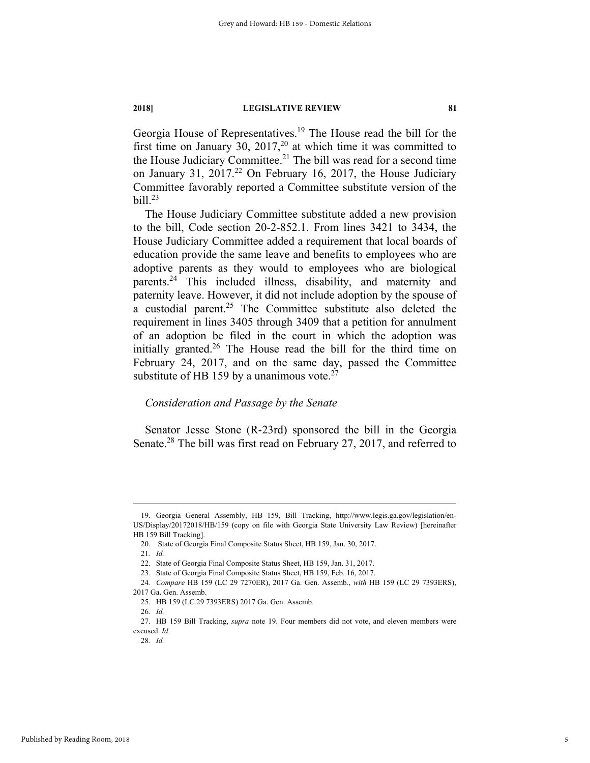Georgia House of Representatives.<sup>19</sup> The House read the bill for the first time on January  $30$ ,  $2017$ ,<sup>20</sup> at which time it was committed to the House Judiciary Committee.<sup>21</sup> The bill was read for a second time on January 31, 2017.<sup>22</sup> On February 16, 2017, the House Judiciary Committee favorably reported a Committee substitute version of the bill.23

The House Judiciary Committee substitute added a new provision to the bill, Code section 20-2-852.1. From lines 3421 to 3434, the House Judiciary Committee added a requirement that local boards of education provide the same leave and benefits to employees who are adoptive parents as they would to employees who are biological parents.24 This included illness, disability, and maternity and paternity leave. However, it did not include adoption by the spouse of a custodial parent.<sup>25</sup> The Committee substitute also deleted the requirement in lines 3405 through 3409 that a petition for annulment of an adoption be filed in the court in which the adoption was initially granted.<sup>26</sup> The House read the bill for the third time on February 24, 2017, and on the same day, passed the Committee substitute of HB 159 by a unanimous vote. $27$ 

# *Consideration and Passage by the Senate*

Senator Jesse Stone (R-23rd) sponsored the bill in the Georgia Senate.<sup>28</sup> The bill was first read on February 27, 2017, and referred to

 <sup>19.</sup> Georgia General Assembly, HB 159, Bill Tracking, http://www.legis.ga.gov/legislation/en-US/Display/20172018/HB/159 (copy on file with Georgia State University Law Review) [hereinafter HB 159 Bill Tracking].

 <sup>20.</sup> State of Georgia Final Composite Status Sheet, HB 159, Jan. 30, 2017.

<sup>21</sup>*. Id.* 

 <sup>22.</sup> State of Georgia Final Composite Status Sheet, HB 159, Jan. 31, 2017.

 <sup>23.</sup> State of Georgia Final Composite Status Sheet, HB 159, Feb. 16, 2017.

<sup>24</sup>*. Compare* HB 159 (LC 29 7270ER), 2017 Ga. Gen. Assemb., *with* HB 159 (LC 29 7393ERS),

<sup>2017</sup> Ga. Gen. Assemb.

 <sup>25.</sup> HB 159 (LC 29 7393ERS) 2017 Ga. Gen. Assemb*.*

<sup>26</sup>*. Id.*

 <sup>27.</sup> HB 159 Bill Tracking, *supra* note 19. Four members did not vote, and eleven members were excused. *Id.*

<sup>28</sup>*. Id.*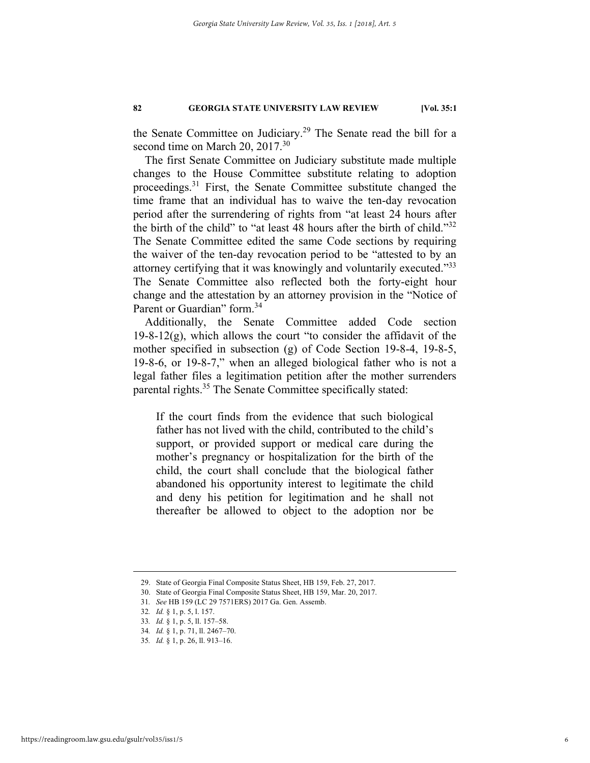the Senate Committee on Judiciary.<sup>29</sup> The Senate read the bill for a second time on March 20, 2017.<sup>30</sup>

The first Senate Committee on Judiciary substitute made multiple changes to the House Committee substitute relating to adoption proceedings.31 First, the Senate Committee substitute changed the time frame that an individual has to waive the ten-day revocation period after the surrendering of rights from "at least 24 hours after the birth of the child" to "at least 48 hours after the birth of child."<sup>32</sup> The Senate Committee edited the same Code sections by requiring the waiver of the ten-day revocation period to be "attested to by an attorney certifying that it was knowingly and voluntarily executed."<sup>33</sup> The Senate Committee also reflected both the forty-eight hour change and the attestation by an attorney provision in the "Notice of Parent or Guardian" form.<sup>34</sup>

Additionally, the Senate Committee added Code section 19-8-12 $(g)$ , which allows the court "to consider the affidavit of the mother specified in subsection (g) of Code Section 19-8-4, 19-8-5, 19-8-6, or 19-8-7," when an alleged biological father who is not a legal father files a legitimation petition after the mother surrenders parental rights.35 The Senate Committee specifically stated:

If the court finds from the evidence that such biological father has not lived with the child, contributed to the child's support, or provided support or medical care during the mother's pregnancy or hospitalization for the birth of the child, the court shall conclude that the biological father abandoned his opportunity interest to legitimate the child and deny his petition for legitimation and he shall not thereafter be allowed to object to the adoption nor be

 <sup>29.</sup> State of Georgia Final Composite Status Sheet, HB 159, Feb. 27, 2017.

 <sup>30.</sup> State of Georgia Final Composite Status Sheet, HB 159, Mar. 20, 2017.

<sup>31</sup>*. See* HB 159 (LC 29 7571ERS) 2017 Ga. Gen. Assemb.

<sup>32</sup>*. Id.* § 1, p. 5, l. 157.

<sup>33</sup>*. Id.* § 1, p. 5, ll. 157–58.

<sup>34</sup>*. Id.* § 1, p. 71, ll. 2467–70.

<sup>35</sup>*. Id.* § 1, p. 26, ll. 913–16.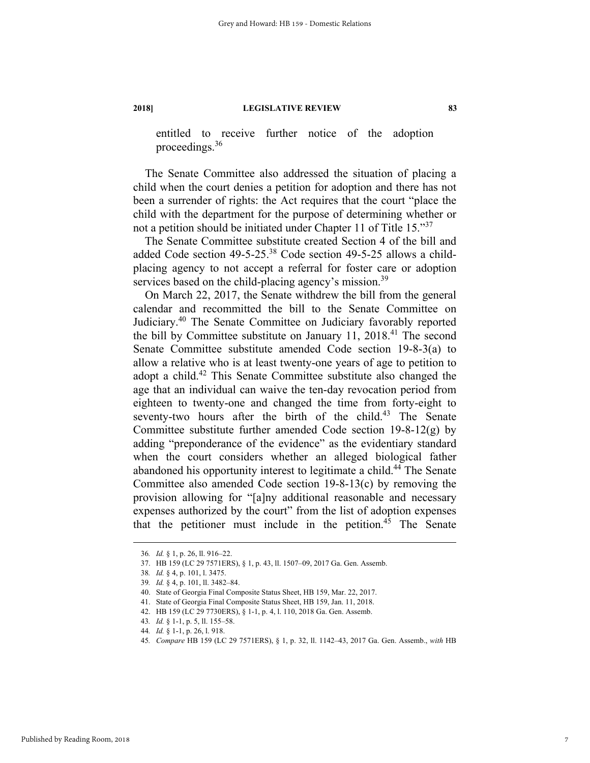entitled to receive further notice of the adoption proceedings.36

The Senate Committee also addressed the situation of placing a child when the court denies a petition for adoption and there has not been a surrender of rights: the Act requires that the court "place the child with the department for the purpose of determining whether or not a petition should be initiated under Chapter 11 of Title 15."<sup>37</sup>

The Senate Committee substitute created Section 4 of the bill and added Code section 49-5-25.38 Code section 49-5-25 allows a childplacing agency to not accept a referral for foster care or adoption services based on the child-placing agency's mission.<sup>39</sup>

On March 22, 2017, the Senate withdrew the bill from the general calendar and recommitted the bill to the Senate Committee on Judiciary.40 The Senate Committee on Judiciary favorably reported the bill by Committee substitute on January  $11$ ,  $2018$ .<sup>41</sup> The second Senate Committee substitute amended Code section 19-8-3(a) to allow a relative who is at least twenty-one years of age to petition to adopt a child.42 This Senate Committee substitute also changed the age that an individual can waive the ten-day revocation period from eighteen to twenty-one and changed the time from forty-eight to seventy-two hours after the birth of the child.<sup>43</sup> The Senate Committee substitute further amended Code section  $19-8-12(g)$  by adding "preponderance of the evidence" as the evidentiary standard when the court considers whether an alleged biological father abandoned his opportunity interest to legitimate a child.<sup>44</sup> The Senate Committee also amended Code section 19-8-13(c) by removing the provision allowing for "[a]ny additional reasonable and necessary expenses authorized by the court" from the list of adoption expenses that the petitioner must include in the petition. $45$  The Senate

 <sup>36</sup>*. Id.* § 1, p. 26, ll. 916–22.

 <sup>37.</sup> HB 159 (LC 29 7571ERS), § 1, p. 43, ll. 1507–09, 2017 Ga. Gen. Assemb.

<sup>38</sup>*. Id.* § 4, p. 101, l. 3475.

<sup>39</sup>*. Id.* § 4, p. 101, ll. 3482–84.

 <sup>40.</sup> State of Georgia Final Composite Status Sheet, HB 159, Mar. 22, 2017.

 <sup>41.</sup> State of Georgia Final Composite Status Sheet, HB 159, Jan. 11, 2018.

 <sup>42.</sup> HB 159 (LC 29 7730ERS), § 1-1, p. 4, l. 110, 2018 Ga. Gen. Assemb.

<sup>43</sup>*. Id.* § 1-1, p. 5, ll. 155–58.

<sup>44</sup>*. Id.* § 1-1, p. 26, l. 918.

<sup>45</sup>*. Compare* HB 159 (LC 29 7571ERS), § 1, p. 32, ll. 1142–43, 2017 Ga. Gen. Assemb., *with* HB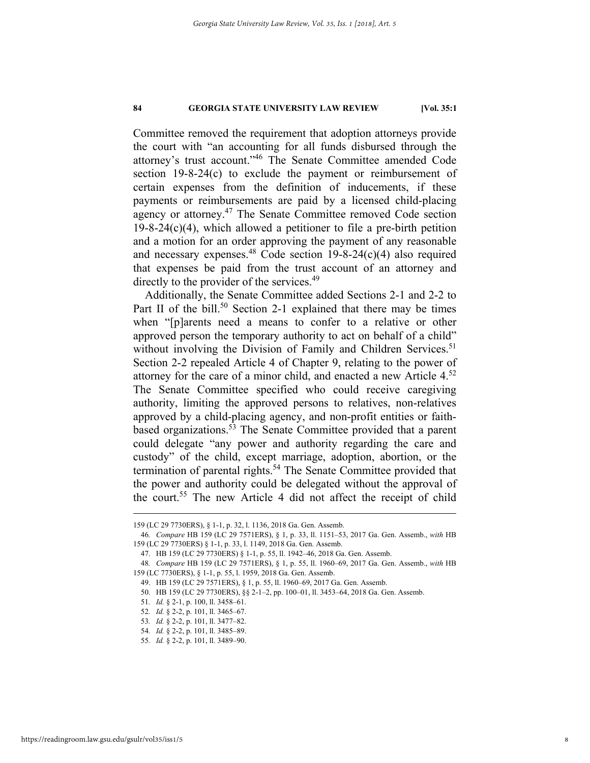Committee removed the requirement that adoption attorneys provide the court with "an accounting for all funds disbursed through the attorney's trust account."46 The Senate Committee amended Code section 19-8-24(c) to exclude the payment or reimbursement of certain expenses from the definition of inducements, if these payments or reimbursements are paid by a licensed child-placing agency or attorney.47 The Senate Committee removed Code section  $19-8-24(c)(4)$ , which allowed a petitioner to file a pre-birth petition and a motion for an order approving the payment of any reasonable and necessary expenses.<sup>48</sup> Code section  $19-8-24(c)(4)$  also required that expenses be paid from the trust account of an attorney and directly to the provider of the services.<sup>49</sup>

Additionally, the Senate Committee added Sections 2-1 and 2-2 to Part II of the bill.<sup>50</sup> Section 2-1 explained that there may be times when "[p]arents need a means to confer to a relative or other approved person the temporary authority to act on behalf of a child" without involving the Division of Family and Children Services.<sup>51</sup> Section 2-2 repealed Article 4 of Chapter 9, relating to the power of attorney for the care of a minor child, and enacted a new Article 4.52 The Senate Committee specified who could receive caregiving authority, limiting the approved persons to relatives, non-relatives approved by a child-placing agency, and non-profit entities or faithbased organizations.53 The Senate Committee provided that a parent could delegate "any power and authority regarding the care and custody" of the child, except marriage, adoption, abortion, or the termination of parental rights.<sup>54</sup> The Senate Committee provided that the power and authority could be delegated without the approval of the court.55 The new Article 4 did not affect the receipt of child

 <sup>159 (</sup>LC 29 7730ERS), § 1-1, p. 32, l. 1136, 2018 Ga. Gen. Assemb.

<sup>46</sup>*. Compare* HB 159 (LC 29 7571ERS), § 1, p. 33, ll. 1151–53, 2017 Ga. Gen. Assemb., *with* HB 159 (LC 29 7730ERS) § 1-1, p. 33, l. 1149, 2018 Ga. Gen. Assemb.

 <sup>47.</sup> HB 159 (LC 29 7730ERS) § 1-1, p. 55, ll. 1942–46, 2018 Ga. Gen. Assemb.

<sup>48</sup>*. Compare* HB 159 (LC 29 7571ERS), § 1, p. 55, ll. 1960–69, 2017 Ga. Gen. Assemb., *with* HB 159 (LC 7730ERS), § 1-1, p. 55, l. 1959, 2018 Ga. Gen. Assemb.

 <sup>49.</sup> HB 159 (LC 29 7571ERS), § 1, p. 55, ll. 1960–69, 2017 Ga. Gen. Assemb.

 <sup>50.</sup> HB 159 (LC 29 7730ERS), §§ 2-1–2, pp. 100–01, ll. 3453–64, 2018 Ga. Gen. Assemb.

<sup>51</sup>*. Id.* § 2-1, p. 100, ll. 3458–61.

<sup>52</sup>*. Id.* § 2-2, p. 101, ll. 3465–67.

<sup>53</sup>*. Id.* § 2-2, p. 101, ll. 3477–82.

<sup>54</sup>*. Id.* § 2-2, p. 101, ll. 3485–89.

<sup>55</sup>*. Id.* § 2-2, p. 101, ll. 3489–90.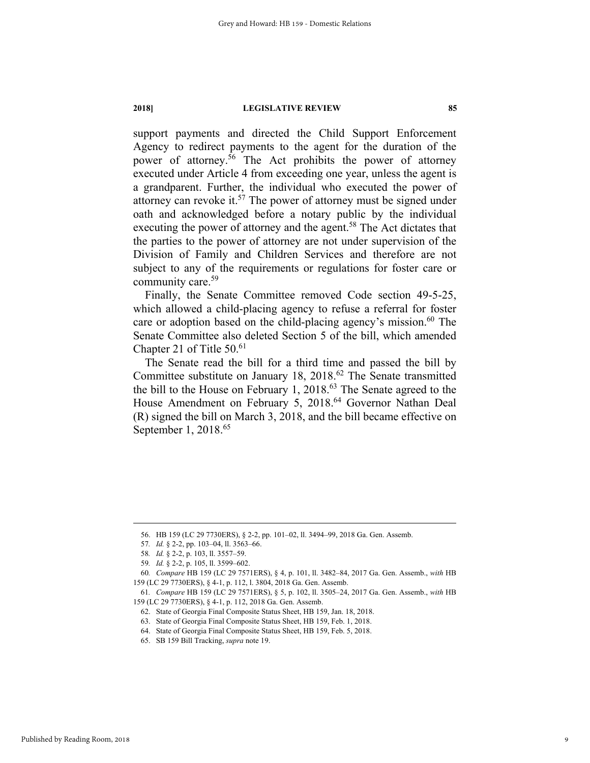support payments and directed the Child Support Enforcement Agency to redirect payments to the agent for the duration of the power of attorney.56 The Act prohibits the power of attorney executed under Article 4 from exceeding one year, unless the agent is a grandparent. Further, the individual who executed the power of attorney can revoke it.<sup>57</sup> The power of attorney must be signed under oath and acknowledged before a notary public by the individual executing the power of attorney and the agent.<sup>58</sup> The Act dictates that the parties to the power of attorney are not under supervision of the Division of Family and Children Services and therefore are not subject to any of the requirements or regulations for foster care or community care.<sup>59</sup>

Finally, the Senate Committee removed Code section 49-5-25, which allowed a child-placing agency to refuse a referral for foster care or adoption based on the child-placing agency's mission.<sup>60</sup> The Senate Committee also deleted Section 5 of the bill, which amended Chapter 21 of Title  $50<sup>61</sup>$ 

The Senate read the bill for a third time and passed the bill by Committee substitute on January 18, 2018.<sup>62</sup> The Senate transmitted the bill to the House on February 1, 2018.<sup>63</sup> The Senate agreed to the House Amendment on February 5, 2018.<sup>64</sup> Governor Nathan Deal (R) signed the bill on March 3, 2018, and the bill became effective on September 1, 2018.<sup>65</sup>

 <sup>56.</sup> HB 159 (LC 29 7730ERS), § 2-2, pp. 101–02, ll. 3494–99, 2018 Ga. Gen. Assemb.

<sup>57</sup>*. Id.* § 2-2, pp. 103–04, ll. 3563–66.

<sup>58</sup>*. Id.* § 2-2, p. 103, ll. 3557–59.

<sup>59</sup>*. Id.* § 2-2, p. 105, ll. 3599–602.

<sup>60</sup>*. Compare* HB 159 (LC 29 7571ERS), § 4, p. 101, ll. 3482–84, 2017 Ga. Gen. Assemb., *with* HB 159 (LC 29 7730ERS), § 4-1, p. 112, l. 3804, 2018 Ga. Gen. Assemb.

<sup>61</sup>*. Compare* HB 159 (LC 29 7571ERS), § 5, p. 102, ll. 3505–24, 2017 Ga. Gen. Assemb., *with* HB 159 (LC 29 7730ERS), § 4-1, p. 112, 2018 Ga. Gen. Assemb.

 <sup>62.</sup> State of Georgia Final Composite Status Sheet, HB 159, Jan. 18, 2018.

 <sup>63.</sup> State of Georgia Final Composite Status Sheet, HB 159, Feb. 1, 2018.

 <sup>64.</sup> State of Georgia Final Composite Status Sheet, HB 159, Feb. 5, 2018.

 <sup>65.</sup> SB 159 Bill Tracking, *supra* note 19.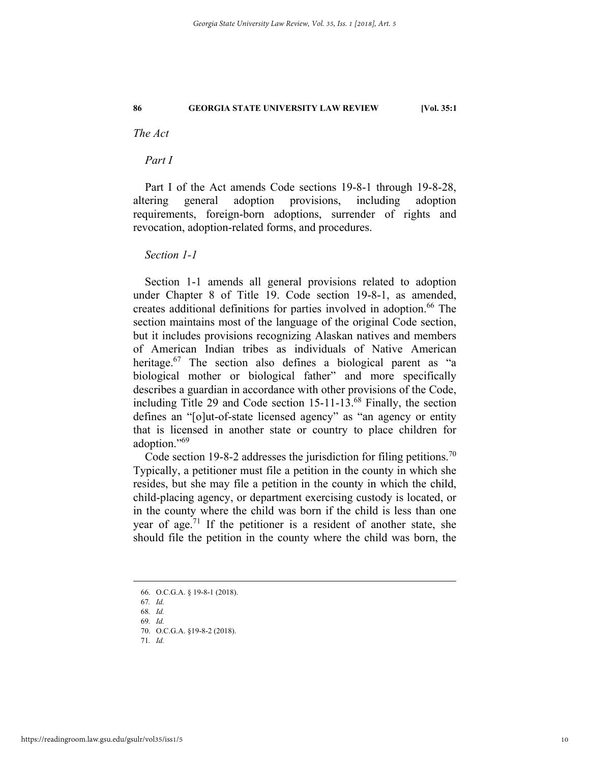*The Act* 

*Part I* 

Part I of the Act amends Code sections 19-8-1 through 19-8-28, altering general adoption provisions, including adoption requirements, foreign-born adoptions, surrender of rights and revocation, adoption-related forms, and procedures.

# *Section 1-1*

Section 1-1 amends all general provisions related to adoption under Chapter 8 of Title 19. Code section 19-8-1, as amended, creates additional definitions for parties involved in adoption. 66 The section maintains most of the language of the original Code section, but it includes provisions recognizing Alaskan natives and members of American Indian tribes as individuals of Native American heritage.<sup>67</sup> The section also defines a biological parent as "a biological mother or biological father" and more specifically describes a guardian in accordance with other provisions of the Code, including Title 29 and Code section 15-11-13.68 Finally, the section defines an "[o]ut-of-state licensed agency" as "an agency or entity that is licensed in another state or country to place children for adoption."69

Code section 19-8-2 addresses the jurisdiction for filing petitions.<sup>70</sup> Typically, a petitioner must file a petition in the county in which she resides, but she may file a petition in the county in which the child, child-placing agency, or department exercising custody is located, or in the county where the child was born if the child is less than one year of age.<sup>71</sup> If the petitioner is a resident of another state, she should file the petition in the county where the child was born, the

71*. Id.*

 <sup>66.</sup> O.C.G.A. § 19-8-1 (2018).

<sup>67</sup>*. Id.*

<sup>68</sup>*. Id.*

<sup>69</sup>*. Id.* 

 <sup>70.</sup> O.C.G.A. §19-8-2 (2018).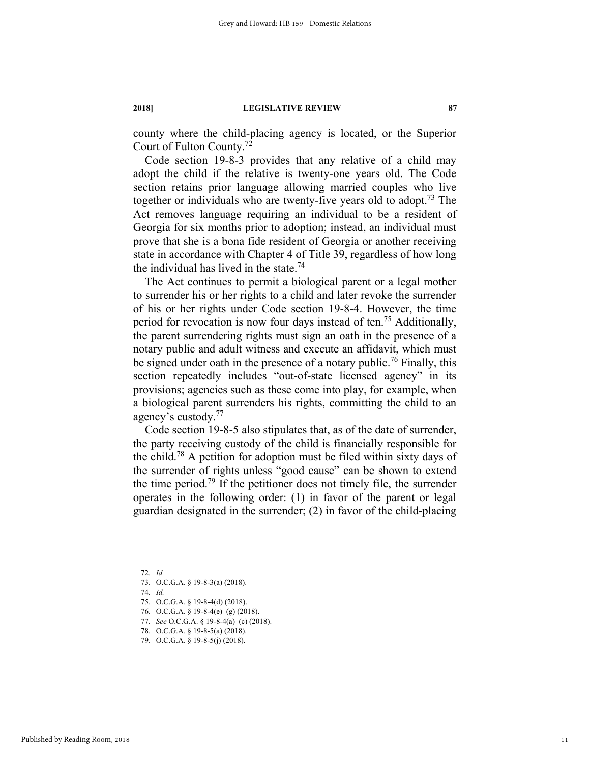county where the child-placing agency is located, or the Superior Court of Fulton County.72

Code section 19-8-3 provides that any relative of a child may adopt the child if the relative is twenty-one years old. The Code section retains prior language allowing married couples who live together or individuals who are twenty-five years old to adopt.<sup>73</sup> The Act removes language requiring an individual to be a resident of Georgia for six months prior to adoption; instead, an individual must prove that she is a bona fide resident of Georgia or another receiving state in accordance with Chapter 4 of Title 39, regardless of how long the individual has lived in the state.<sup>74</sup>

The Act continues to permit a biological parent or a legal mother to surrender his or her rights to a child and later revoke the surrender of his or her rights under Code section 19-8-4. However, the time period for revocation is now four days instead of ten.75 Additionally, the parent surrendering rights must sign an oath in the presence of a notary public and adult witness and execute an affidavit, which must be signed under oath in the presence of a notary public.<sup>76</sup> Finally, this section repeatedly includes "out-of-state licensed agency" in its provisions; agencies such as these come into play, for example, when a biological parent surrenders his rights, committing the child to an agency's custody.77

Code section 19-8-5 also stipulates that, as of the date of surrender, the party receiving custody of the child is financially responsible for the child.78 A petition for adoption must be filed within sixty days of the surrender of rights unless "good cause" can be shown to extend the time period.<sup>79</sup> If the petitioner does not timely file, the surrender operates in the following order: (1) in favor of the parent or legal guardian designated in the surrender; (2) in favor of the child-placing

Published by Reading Room, 2018

 <sup>72</sup>*. Id.*

 <sup>73.</sup> O.C.G.A. § 19-8-3(a) (2018).

<sup>74</sup>*. Id.*

 <sup>75.</sup> O.C.G.A. § 19-8-4(d) (2018).

 <sup>76.</sup> O.C.G.A. § 19-8-4(e)–(g) (2018).

<sup>77</sup>*. See* O.C.G.A. § 19-8-4(a)–(c) (2018).

 <sup>78.</sup> O.C.G.A. § 19-8-5(a) (2018).

 <sup>79.</sup> O.C.G.A. § 19-8-5(j) (2018).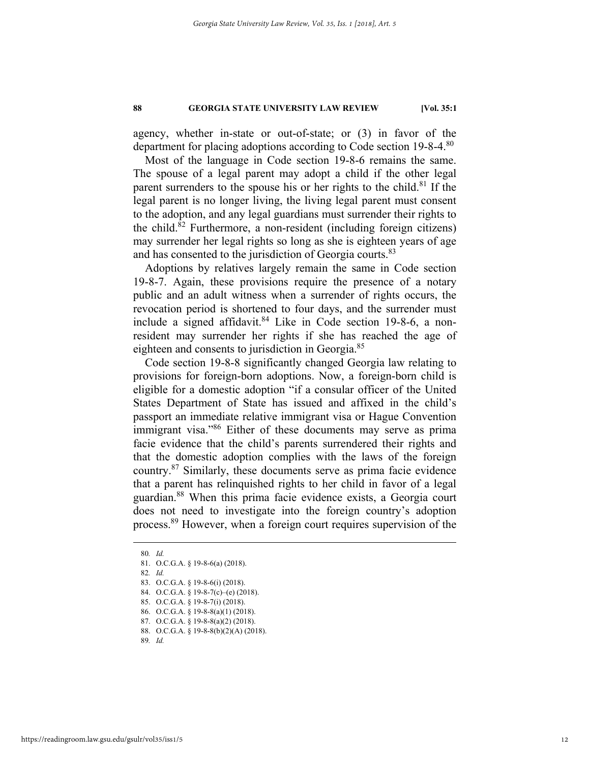agency, whether in-state or out-of-state; or (3) in favor of the department for placing adoptions according to Code section 19-8-4.<sup>80</sup>

Most of the language in Code section 19-8-6 remains the same. The spouse of a legal parent may adopt a child if the other legal parent surrenders to the spouse his or her rights to the child.<sup>81</sup> If the legal parent is no longer living, the living legal parent must consent to the adoption, and any legal guardians must surrender their rights to the child.<sup>82</sup> Furthermore, a non-resident (including foreign citizens) may surrender her legal rights so long as she is eighteen years of age and has consented to the jurisdiction of Georgia courts.<sup>83</sup>

Adoptions by relatives largely remain the same in Code section 19-8-7. Again, these provisions require the presence of a notary public and an adult witness when a surrender of rights occurs, the revocation period is shortened to four days, and the surrender must include a signed affidavit. $84$  Like in Code section 19-8-6, a nonresident may surrender her rights if she has reached the age of eighteen and consents to jurisdiction in Georgia.<sup>85</sup>

Code section 19-8-8 significantly changed Georgia law relating to provisions for foreign-born adoptions. Now, a foreign-born child is eligible for a domestic adoption "if a consular officer of the United States Department of State has issued and affixed in the child's passport an immediate relative immigrant visa or Hague Convention immigrant visa."<sup>86</sup> Either of these documents may serve as prima facie evidence that the child's parents surrendered their rights and that the domestic adoption complies with the laws of the foreign country.87 Similarly, these documents serve as prima facie evidence that a parent has relinquished rights to her child in favor of a legal guardian.88 When this prima facie evidence exists, a Georgia court does not need to investigate into the foreign country's adoption process.89 However, when a foreign court requires supervision of the

83. O.C.G.A. § 19-8-6(i) (2018).

- 85. O.C.G.A. § 19-8-7(i) (2018).
- 86. O.C.G.A. § 19-8-8(a)(1) (2018).
- 87. O.C.G.A. § 19-8-8(a)(2) (2018).
- 88. O.C.G.A. § 19-8-8(b)(2)(A) (2018).

89*. Id.*

 <sup>80</sup>*. Id.*

 <sup>81.</sup> O.C.G.A. § 19-8-6(a) (2018).

<sup>82</sup>*. Id.* 

 <sup>84.</sup> O.C.G.A. § 19-8-7(c)–(e) (2018).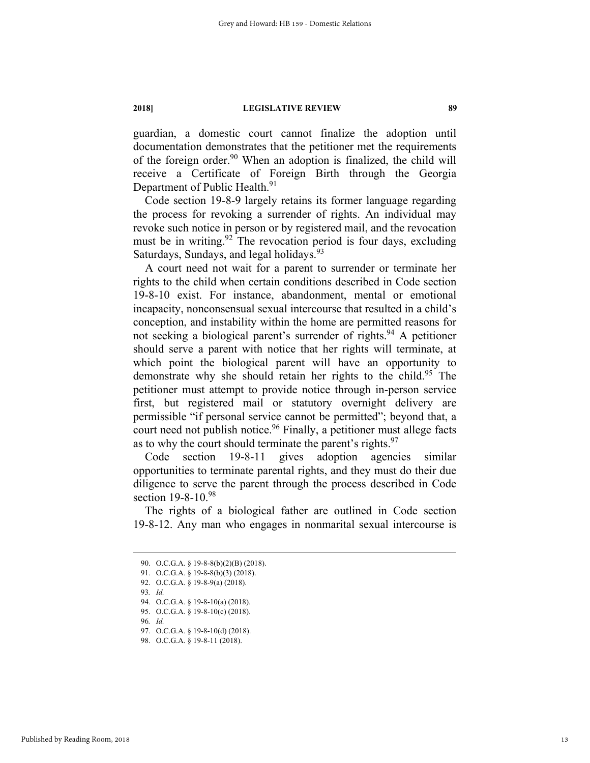guardian, a domestic court cannot finalize the adoption until documentation demonstrates that the petitioner met the requirements of the foreign order.<sup>90</sup> When an adoption is finalized, the child will receive a Certificate of Foreign Birth through the Georgia Department of Public Health.<sup>91</sup>

Code section 19-8-9 largely retains its former language regarding the process for revoking a surrender of rights. An individual may revoke such notice in person or by registered mail, and the revocation must be in writing.<sup>92</sup> The revocation period is four days, excluding Saturdays, Sundays, and legal holidays.<sup>93</sup>

A court need not wait for a parent to surrender or terminate her rights to the child when certain conditions described in Code section 19-8-10 exist. For instance, abandonment, mental or emotional incapacity, nonconsensual sexual intercourse that resulted in a child's conception, and instability within the home are permitted reasons for not seeking a biological parent's surrender of rights.<sup>94</sup> A petitioner should serve a parent with notice that her rights will terminate, at which point the biological parent will have an opportunity to demonstrate why she should retain her rights to the child.<sup>95</sup> The petitioner must attempt to provide notice through in-person service first, but registered mail or statutory overnight delivery are permissible "if personal service cannot be permitted"; beyond that, a court need not publish notice.<sup>96</sup> Finally, a petitioner must allege facts as to why the court should terminate the parent's rights. $97$ 

Code section 19-8-11 gives adoption agencies similar opportunities to terminate parental rights, and they must do their due diligence to serve the parent through the process described in Code section 19-8-10.98

The rights of a biological father are outlined in Code section 19-8-12. Any man who engages in nonmarital sexual intercourse is

93*. Id.* 

 <sup>90.</sup> O.C.G.A. § 19-8-8(b)(2)(B) (2018).

<sup>91.</sup> O.C.G.A. § 19-8-8(b)(3) (2018).

 <sup>92.</sup> O.C.G.A. § 19-8-9(a) (2018).

 <sup>94.</sup> O.C.G.A. § 19-8-10(a) (2018).

 <sup>95.</sup> O.C.G.A. § 19-8-10(c) (2018).

<sup>96</sup>*. Id.*

 <sup>97.</sup> O.C.G.A. § 19-8-10(d) (2018).

<sup>98.</sup> O.C.G.A. § 19-8-11 (2018).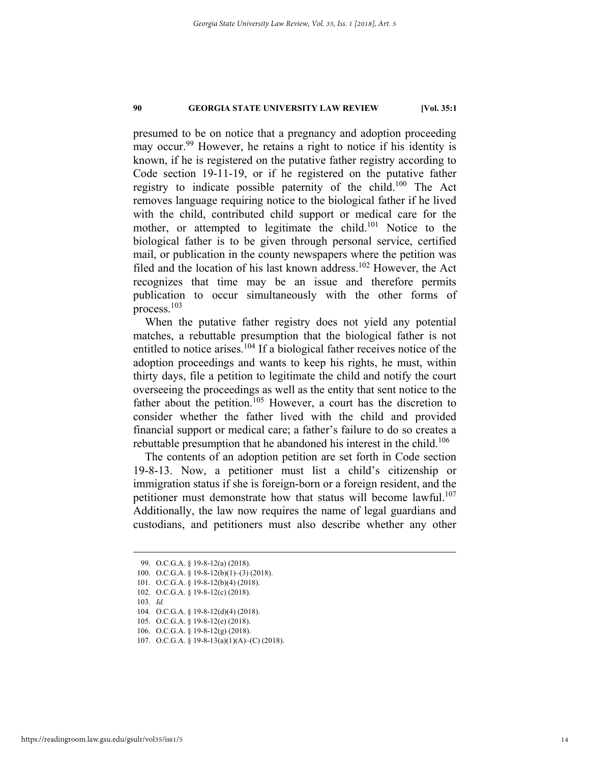presumed to be on notice that a pregnancy and adoption proceeding may occur.<sup>99</sup> However, he retains a right to notice if his identity is known, if he is registered on the putative father registry according to Code section 19-11-19, or if he registered on the putative father registry to indicate possible paternity of the child.100 The Act removes language requiring notice to the biological father if he lived with the child, contributed child support or medical care for the mother, or attempted to legitimate the child.<sup>101</sup> Notice to the biological father is to be given through personal service, certified mail, or publication in the county newspapers where the petition was filed and the location of his last known address.<sup>102</sup> However, the Act recognizes that time may be an issue and therefore permits publication to occur simultaneously with the other forms of process.103

When the putative father registry does not yield any potential matches, a rebuttable presumption that the biological father is not entitled to notice arises.<sup>104</sup> If a biological father receives notice of the adoption proceedings and wants to keep his rights, he must, within thirty days, file a petition to legitimate the child and notify the court overseeing the proceedings as well as the entity that sent notice to the father about the petition.<sup>105</sup> However, a court has the discretion to consider whether the father lived with the child and provided financial support or medical care; a father's failure to do so creates a rebuttable presumption that he abandoned his interest in the child.<sup>106</sup>

The contents of an adoption petition are set forth in Code section 19-8-13. Now, a petitioner must list a child's citizenship or immigration status if she is foreign-born or a foreign resident, and the petitioner must demonstrate how that status will become lawful.<sup>107</sup> Additionally, the law now requires the name of legal guardians and custodians, and petitioners must also describe whether any other

 <sup>99.</sup> O.C.G.A. § 19-8-12(a) (2018).

 <sup>100.</sup> O.C.G.A. § 19-8-12(b)(1)–(3) (2018).

 <sup>101.</sup> O.C.G.A. § 19-8-12(b)(4) (2018).

 <sup>102.</sup> O.C.G.A. § 19-8-12(c) (2018).

<sup>103</sup>*. Id.*

 <sup>104.</sup> O.C.G.A. § 19-8-12(d)(4) (2018).

 <sup>105.</sup> O.C.G.A. § 19-8-12(e) (2018).

 <sup>106.</sup> O.C.G.A. § 19-8-12(g) (2018).

 <sup>107.</sup> O.C.G.A. § 19-8-13(a)(1)(A)–(C) (2018).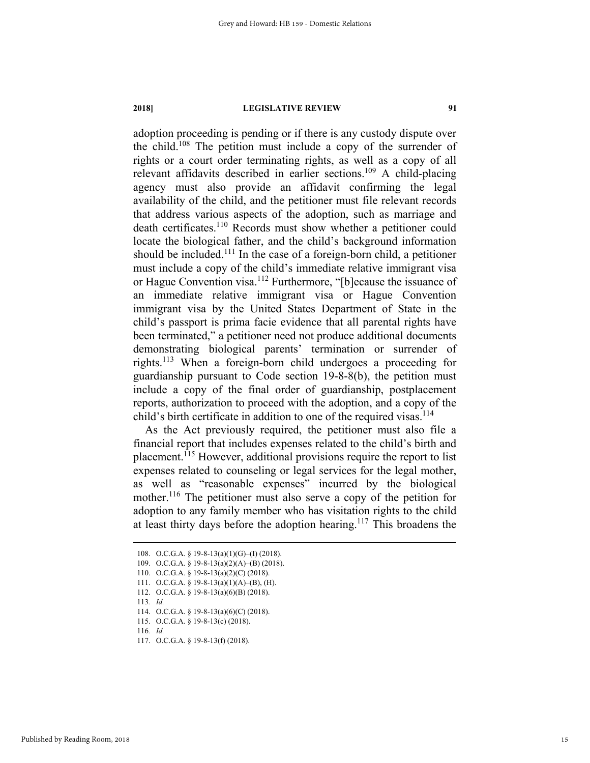adoption proceeding is pending or if there is any custody dispute over the child.108 The petition must include a copy of the surrender of rights or a court order terminating rights, as well as a copy of all relevant affidavits described in earlier sections.109 A child-placing agency must also provide an affidavit confirming the legal availability of the child, and the petitioner must file relevant records that address various aspects of the adoption, such as marriage and death certificates.<sup>110</sup> Records must show whether a petitioner could locate the biological father, and the child's background information should be included.111 In the case of a foreign-born child, a petitioner must include a copy of the child's immediate relative immigrant visa or Hague Convention visa.112 Furthermore, "[b]ecause the issuance of an immediate relative immigrant visa or Hague Convention immigrant visa by the United States Department of State in the child's passport is prima facie evidence that all parental rights have been terminated," a petitioner need not produce additional documents demonstrating biological parents' termination or surrender of rights.113 When a foreign-born child undergoes a proceeding for guardianship pursuant to Code section 19-8-8(b), the petition must include a copy of the final order of guardianship, postplacement reports, authorization to proceed with the adoption, and a copy of the child's birth certificate in addition to one of the required visas.<sup>114</sup>

As the Act previously required, the petitioner must also file a financial report that includes expenses related to the child's birth and placement.115 However, additional provisions require the report to list expenses related to counseling or legal services for the legal mother, as well as "reasonable expenses" incurred by the biological mother.<sup>116</sup> The petitioner must also serve a copy of the petition for adoption to any family member who has visitation rights to the child at least thirty days before the adoption hearing.<sup>117</sup> This broadens the

 <sup>108.</sup> O.C.G.A. § 19-8-13(a)(1)(G)–(I) (2018).

 <sup>109.</sup> O.C.G.A. § 19-8-13(a)(2)(A)–(B) (2018).

 <sup>110.</sup> O.C.G.A. § 19-8-13(a)(2)(C) (2018).

 <sup>111.</sup> O.C.G.A. § 19-8-13(a)(1)(A)–(B), (H).

 <sup>112.</sup> O.C.G.A. § 19-8-13(a)(6)(B) (2018).

<sup>113</sup>*. Id.*

 <sup>114.</sup> O.C.G.A. § 19-8-13(a)(6)(C) (2018).

 <sup>115.</sup> O.C.G.A. § 19-8-13(c) (2018).

<sup>116</sup>*. Id.*

 <sup>117.</sup> O.C.G.A. § 19-8-13(f) (2018).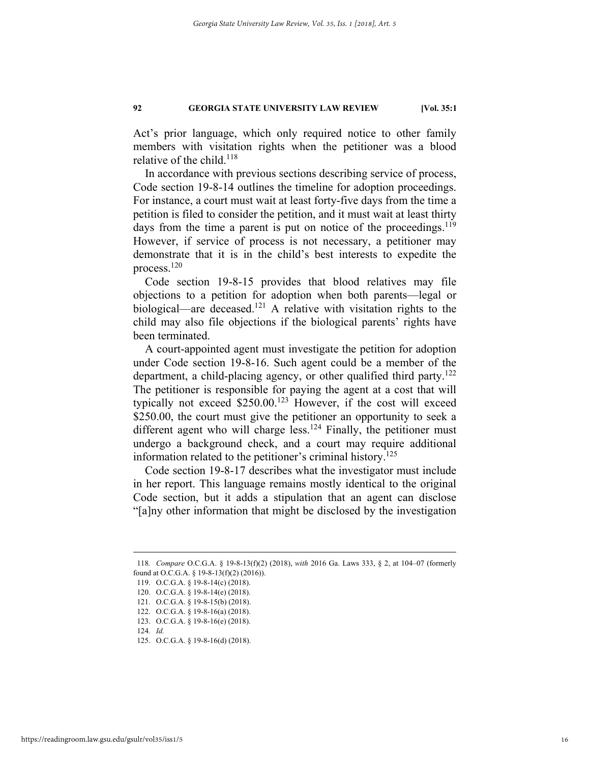Act's prior language, which only required notice to other family members with visitation rights when the petitioner was a blood relative of the child.<sup>118</sup>

In accordance with previous sections describing service of process, Code section 19-8-14 outlines the timeline for adoption proceedings. For instance, a court must wait at least forty-five days from the time a petition is filed to consider the petition, and it must wait at least thirty days from the time a parent is put on notice of the proceedings.<sup>119</sup> However, if service of process is not necessary, a petitioner may demonstrate that it is in the child's best interests to expedite the process.120

Code section 19-8-15 provides that blood relatives may file objections to a petition for adoption when both parents—legal or biological—are deceased.<sup>121</sup> A relative with visitation rights to the child may also file objections if the biological parents' rights have been terminated.

A court-appointed agent must investigate the petition for adoption under Code section 19-8-16. Such agent could be a member of the department, a child-placing agency, or other qualified third party.<sup>122</sup> The petitioner is responsible for paying the agent at a cost that will typically not exceed \$250.00.123 However, if the cost will exceed \$250.00, the court must give the petitioner an opportunity to seek a different agent who will charge less.<sup>124</sup> Finally, the petitioner must undergo a background check, and a court may require additional information related to the petitioner's criminal history.<sup>125</sup>

Code section 19-8-17 describes what the investigator must include in her report. This language remains mostly identical to the original Code section, but it adds a stipulation that an agent can disclose "[a]ny other information that might be disclosed by the investigation

 <sup>118</sup>*. Compare* O.C.G.A. § 19-8-13(f)(2) (2018), *with* 2016 Ga. Laws 333, § 2, at 104–07 (formerly found at O.C.G.A. § 19-8-13(f)(2) (2016)).

 <sup>119.</sup> O.C.G.A. § 19-8-14(c) (2018).

 <sup>120.</sup> O.C.G.A. § 19-8-14(e) (2018).

 <sup>121.</sup> O.C.G.A. § 19-8-15(b) (2018).

 <sup>122.</sup> O.C.G.A. § 19-8-16(a) (2018). 123. O.C.G.A. § 19-8-16(e) (2018).

<sup>124</sup>*. Id.* 

 <sup>125.</sup> O.C.G.A. § 19-8-16(d) (2018).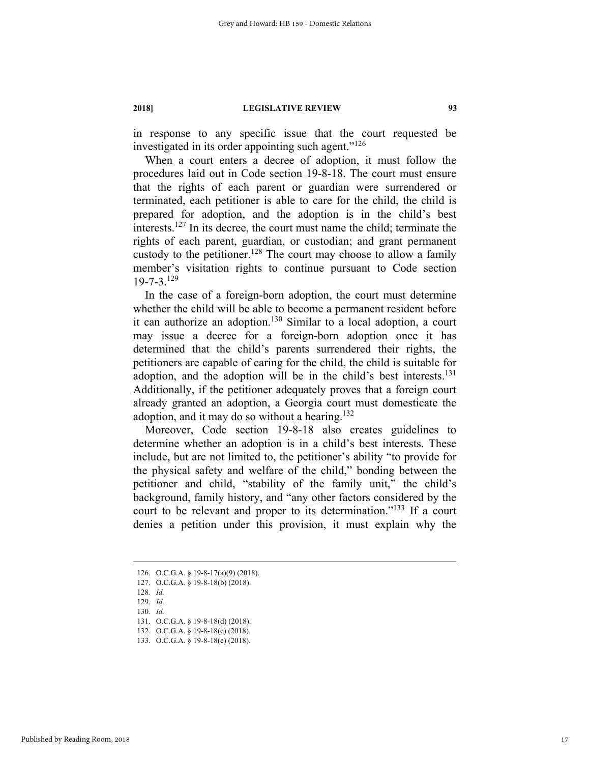in response to any specific issue that the court requested be investigated in its order appointing such agent."126

When a court enters a decree of adoption, it must follow the procedures laid out in Code section 19-8-18. The court must ensure that the rights of each parent or guardian were surrendered or terminated, each petitioner is able to care for the child, the child is prepared for adoption, and the adoption is in the child's best interests.127 In its decree, the court must name the child; terminate the rights of each parent, guardian, or custodian; and grant permanent custody to the petitioner.<sup>128</sup> The court may choose to allow a family member's visitation rights to continue pursuant to Code section 19-7-3.129

In the case of a foreign-born adoption, the court must determine whether the child will be able to become a permanent resident before it can authorize an adoption.<sup>130</sup> Similar to a local adoption, a court may issue a decree for a foreign-born adoption once it has determined that the child's parents surrendered their rights, the petitioners are capable of caring for the child, the child is suitable for adoption, and the adoption will be in the child's best interests.<sup>131</sup> Additionally, if the petitioner adequately proves that a foreign court already granted an adoption, a Georgia court must domesticate the adoption, and it may do so without a hearing.<sup>132</sup>

Moreover, Code section 19-8-18 also creates guidelines to determine whether an adoption is in a child's best interests. These include, but are not limited to, the petitioner's ability "to provide for the physical safety and welfare of the child," bonding between the petitioner and child, "stability of the family unit," the child's background, family history, and "any other factors considered by the court to be relevant and proper to its determination."133 If a court denies a petition under this provision, it must explain why the

131. O.C.G.A. § 19-8-18(d) (2018).

 <sup>126.</sup> O.C.G.A. § 19-8-17(a)(9) (2018).

 <sup>127.</sup> O.C.G.A. § 19-8-18(b) (2018).

<sup>128</sup>*. Id.*

<sup>129</sup>*. Id.*

<sup>130</sup>*. Id.*

 <sup>132.</sup> O.C.G.A. § 19-8-18(c) (2018). 133. O.C.G.A. § 19-8-18(e) (2018).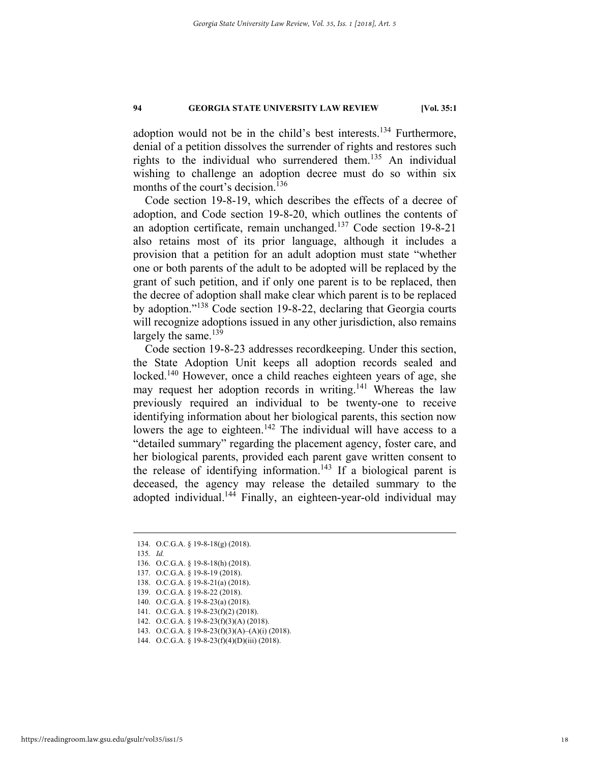adoption would not be in the child's best interests.<sup>134</sup> Furthermore, denial of a petition dissolves the surrender of rights and restores such rights to the individual who surrendered them.<sup>135</sup> An individual wishing to challenge an adoption decree must do so within six months of the court's decision.<sup>136</sup>

Code section 19-8-19, which describes the effects of a decree of adoption, and Code section 19-8-20, which outlines the contents of an adoption certificate, remain unchanged.137 Code section 19-8-21 also retains most of its prior language, although it includes a provision that a petition for an adult adoption must state "whether one or both parents of the adult to be adopted will be replaced by the grant of such petition, and if only one parent is to be replaced, then the decree of adoption shall make clear which parent is to be replaced by adoption."138 Code section 19-8-22, declaring that Georgia courts will recognize adoptions issued in any other jurisdiction, also remains largely the same. $139$ 

Code section 19-8-23 addresses recordkeeping. Under this section, the State Adoption Unit keeps all adoption records sealed and locked.<sup>140</sup> However, once a child reaches eighteen years of age, she may request her adoption records in writing.<sup>141</sup> Whereas the law previously required an individual to be twenty-one to receive identifying information about her biological parents, this section now lowers the age to eighteen.<sup>142</sup> The individual will have access to a "detailed summary" regarding the placement agency, foster care, and her biological parents, provided each parent gave written consent to the release of identifying information.<sup>143</sup> If a biological parent is deceased, the agency may release the detailed summary to the adopted individual.<sup>144</sup> Finally, an eighteen-year-old individual may

- 135*. Id.*
- 136. O.C.G.A. § 19-8-18(h) (2018).
- 137. O.C.G.A. § 19-8-19 (2018).
- 138. O.C.G.A. § 19-8-21(a) (2018).
- 139. O.C.G.A. § 19-8-22 (2018).
- 140. O.C.G.A. § 19-8-23(a) (2018).
- 141. O.C.G.A. § 19-8-23(f)(2) (2018).
- 142. O.C.G.A. § 19-8-23(f)(3)(A) (2018).
- 143. O.C.G.A. § 19-8-23(f)(3)(A)–(A)(i) (2018).
- 144. O.C.G.A. § 19-8-23(f)(4)(D)(iii) (2018).

 <sup>134.</sup> O.C.G.A. § 19-8-18(g) (2018).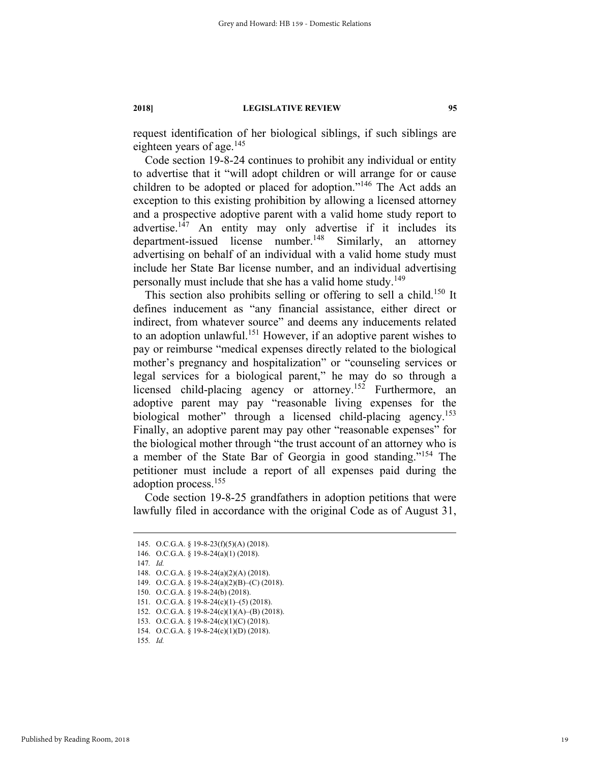request identification of her biological siblings, if such siblings are eighteen years of age. $145$ 

Code section 19-8-24 continues to prohibit any individual or entity to advertise that it "will adopt children or will arrange for or cause children to be adopted or placed for adoption."146 The Act adds an exception to this existing prohibition by allowing a licensed attorney and a prospective adoptive parent with a valid home study report to advertise.147 An entity may only advertise if it includes its department-issued license number.<sup>148</sup> Similarly, an attorney advertising on behalf of an individual with a valid home study must include her State Bar license number, and an individual advertising personally must include that she has a valid home study.<sup>149</sup>

This section also prohibits selling or offering to sell a child.<sup>150</sup> It defines inducement as "any financial assistance, either direct or indirect, from whatever source" and deems any inducements related to an adoption unlawful.<sup>151</sup> However, if an adoptive parent wishes to pay or reimburse "medical expenses directly related to the biological mother's pregnancy and hospitalization" or "counseling services or legal services for a biological parent," he may do so through a licensed child-placing agency or attorney.<sup>152</sup> Furthermore, an adoptive parent may pay "reasonable living expenses for the biological mother" through a licensed child-placing agency.<sup>153</sup> Finally, an adoptive parent may pay other "reasonable expenses" for the biological mother through "the trust account of an attorney who is a member of the State Bar of Georgia in good standing."<sup>154</sup> The petitioner must include a report of all expenses paid during the adoption process.155

Code section 19-8-25 grandfathers in adoption petitions that were lawfully filed in accordance with the original Code as of August 31,

Published by Reading Room, 2018

 <sup>145.</sup> O.C.G.A. § 19-8-23(f)(5)(A) (2018). 146. O.C.G.A. § 19-8-24(a)(1) (2018). 147*. Id.* 148. O.C.G.A. § 19-8-24(a)(2)(A) (2018). 149. O.C.G.A. § 19-8-24(a)(2)(B)–(C) (2018). 150. O.C.G.A. § 19-8-24(b) (2018). 151. O.C.G.A. § 19-8-24(c)(1)–(5) (2018).

 <sup>152.</sup> O.C.G.A. § 19-8-24(c)(1)(A)–(B) (2018).

 <sup>153.</sup> O.C.G.A. § 19-8-24(c)(1)(C) (2018).

 <sup>154.</sup> O.C.G.A. § 19-8-24(c)(1)(D) (2018).

<sup>155</sup>*. Id.*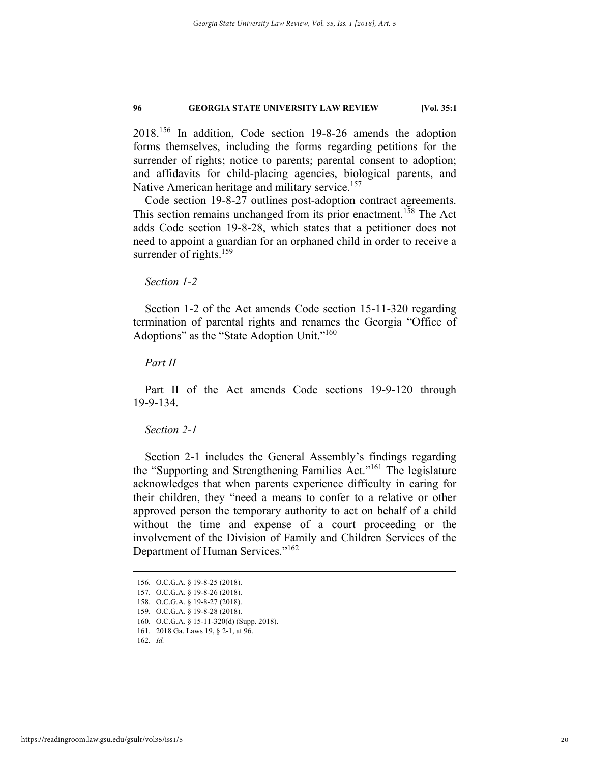2018.156 In addition, Code section 19-8-26 amends the adoption forms themselves, including the forms regarding petitions for the surrender of rights; notice to parents; parental consent to adoption; and affidavits for child-placing agencies, biological parents, and Native American heritage and military service.<sup>157</sup>

Code section 19-8-27 outlines post-adoption contract agreements. This section remains unchanged from its prior enactment.<sup>158</sup> The Act adds Code section 19-8-28, which states that a petitioner does not need to appoint a guardian for an orphaned child in order to receive a surrender of rights.<sup>159</sup>

## *Section 1-2*

Section 1-2 of the Act amends Code section 15-11-320 regarding termination of parental rights and renames the Georgia "Office of Adoptions" as the "State Adoption Unit."<sup>160</sup>

# *Part II*

Part II of the Act amends Code sections 19-9-120 through 19-9-134.

# *Section 2-1*

Section 2-1 includes the General Assembly's findings regarding the "Supporting and Strengthening Families Act."161 The legislature acknowledges that when parents experience difficulty in caring for their children, they "need a means to confer to a relative or other approved person the temporary authority to act on behalf of a child without the time and expense of a court proceeding or the involvement of the Division of Family and Children Services of the Department of Human Services."162

 <sup>156.</sup> O.C.G.A. § 19-8-25 (2018).

 <sup>157.</sup> O.C.G.A. § 19-8-26 (2018).

 <sup>158.</sup> O.C.G.A. § 19-8-27 (2018).

 <sup>159.</sup> O.C.G.A. § 19-8-28 (2018).

 <sup>160.</sup> O.C.G.A. § 15-11-320(d) (Supp. 2018).

 <sup>161. 2018</sup> Ga. Laws 19, § 2-1, at 96.

<sup>162</sup>*. Id.*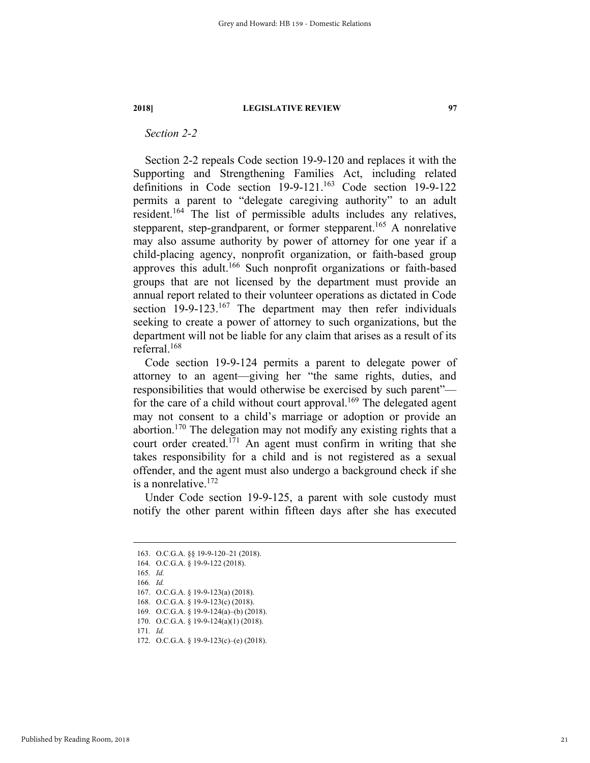# *Section 2-2*

Section 2-2 repeals Code section 19-9-120 and replaces it with the Supporting and Strengthening Families Act, including related definitions in Code section 19-9-121.<sup>163</sup> Code section 19-9-122 permits a parent to "delegate caregiving authority" to an adult resident.164 The list of permissible adults includes any relatives, stepparent, step-grandparent, or former stepparent.<sup>165</sup> A nonrelative may also assume authority by power of attorney for one year if a child-placing agency, nonprofit organization, or faith-based group approves this adult.166 Such nonprofit organizations or faith-based groups that are not licensed by the department must provide an annual report related to their volunteer operations as dictated in Code section  $19-9-123$ .<sup>167</sup> The department may then refer individuals seeking to create a power of attorney to such organizations, but the department will not be liable for any claim that arises as a result of its referral.168

Code section 19-9-124 permits a parent to delegate power of attorney to an agent—giving her "the same rights, duties, and responsibilities that would otherwise be exercised by such parent" for the care of a child without court approval.<sup>169</sup> The delegated agent may not consent to a child's marriage or adoption or provide an abortion.170 The delegation may not modify any existing rights that a court order created.<sup>171</sup> An agent must confirm in writing that she takes responsibility for a child and is not registered as a sexual offender, and the agent must also undergo a background check if she is a nonrelative.172

Under Code section 19-9-125, a parent with sole custody must notify the other parent within fifteen days after she has executed

 <sup>163.</sup> O.C.G.A. §§ 19-9-120–21 (2018).

 <sup>164.</sup> O.C.G.A. § 19-9-122 (2018).

<sup>165</sup>*. Id.*

<sup>166</sup>*. Id.* 

 <sup>167.</sup> O.C.G.A. § 19-9-123(a) (2018).

 <sup>168.</sup> O.C.G.A. § 19-9-123(c) (2018).

 <sup>169.</sup> O.C.G.A. § 19-9-124(a)–(b) (2018).

 <sup>170.</sup> O.C.G.A. § 19-9-124(a)(1) (2018).

<sup>171</sup>*. Id.*

 <sup>172.</sup> O.C.G.A. § 19-9-123(c)–(e) (2018).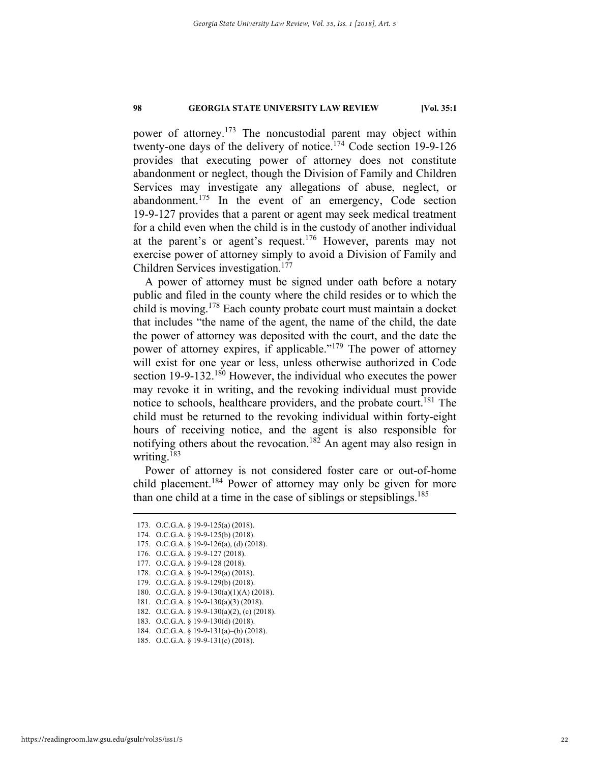power of attorney.<sup>173</sup> The noncustodial parent may object within twenty-one days of the delivery of notice.<sup>174</sup> Code section 19-9-126 provides that executing power of attorney does not constitute abandonment or neglect, though the Division of Family and Children Services may investigate any allegations of abuse, neglect, or abandonment.175 In the event of an emergency, Code section 19-9-127 provides that a parent or agent may seek medical treatment for a child even when the child is in the custody of another individual at the parent's or agent's request.<sup>176</sup> However, parents may not exercise power of attorney simply to avoid a Division of Family and Children Services investigation.<sup>177</sup>

A power of attorney must be signed under oath before a notary public and filed in the county where the child resides or to which the child is moving.178 Each county probate court must maintain a docket that includes "the name of the agent, the name of the child, the date the power of attorney was deposited with the court, and the date the power of attorney expires, if applicable."<sup>179</sup> The power of attorney will exist for one year or less, unless otherwise authorized in Code section 19-9-132.<sup>180</sup> However, the individual who executes the power may revoke it in writing, and the revoking individual must provide notice to schools, healthcare providers, and the probate court.<sup>181</sup> The child must be returned to the revoking individual within forty-eight hours of receiving notice, and the agent is also responsible for notifying others about the revocation.<sup>182</sup> An agent may also resign in writing.<sup>183</sup>

Power of attorney is not considered foster care or out-of-home child placement.<sup>184</sup> Power of attorney may only be given for more than one child at a time in the case of siblings or stepsiblings.<sup>185</sup>

- 174. O.C.G.A. § 19-9-125(b) (2018). 175. O.C.G.A. § 19-9-126(a), (d) (2018).
- 
- 176. O.C.G.A. § 19-9-127 (2018). 177. O.C.G.A. § 19-9-128 (2018).
- 178. O.C.G.A. § 19-9-129(a) (2018).
- 179. O.C.G.A. § 19-9-129(b) (2018).
- 180. O.C.G.A. § 19-9-130(a)(1)(A) (2018).
- 181. O.C.G.A. § 19-9-130(a)(3) (2018).
- 182. O.C.G.A. § 19-9-130(a)(2), (c) (2018).
- 183. O.C.G.A. § 19-9-130(d) (2018).
- 184. O.C.G.A. § 19-9-131(a)–(b) (2018).
- 185. O.C.G.A. § 19-9-131(c) (2018).

 <sup>173.</sup> O.C.G.A. § 19-9-125(a) (2018).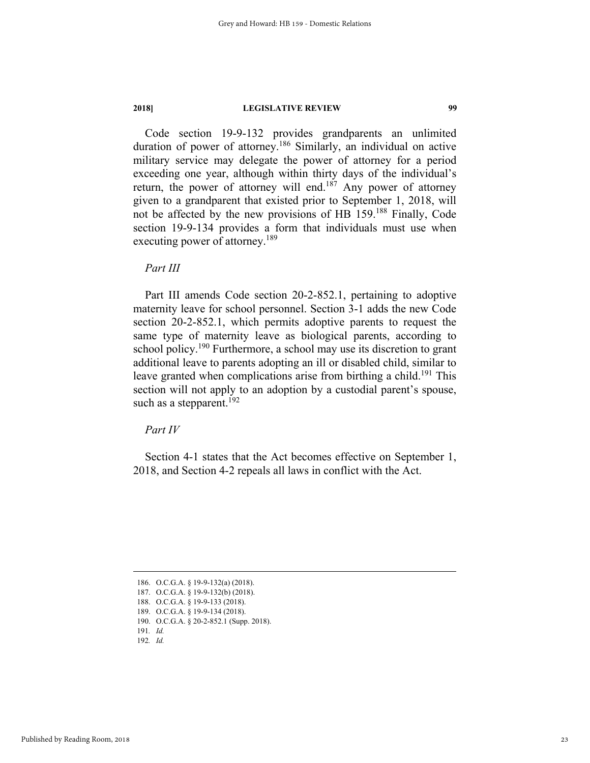Code section 19-9-132 provides grandparents an unlimited duration of power of attorney.186 Similarly, an individual on active military service may delegate the power of attorney for a period exceeding one year, although within thirty days of the individual's return, the power of attorney will end.<sup>187</sup> Any power of attorney given to a grandparent that existed prior to September 1, 2018, will not be affected by the new provisions of HB 159.188 Finally, Code section 19-9-134 provides a form that individuals must use when executing power of attorney.<sup>189</sup>

*Part III* 

Part III amends Code section 20-2-852.1, pertaining to adoptive maternity leave for school personnel. Section 3-1 adds the new Code section 20-2-852.1, which permits adoptive parents to request the same type of maternity leave as biological parents, according to school policy.<sup>190</sup> Furthermore, a school may use its discretion to grant additional leave to parents adopting an ill or disabled child, similar to leave granted when complications arise from birthing a child.<sup>191</sup> This section will not apply to an adoption by a custodial parent's spouse, such as a stepparent.<sup>192</sup>

*Part IV* 

Section 4-1 states that the Act becomes effective on September 1, 2018, and Section 4-2 repeals all laws in conflict with the Act.

186. O.C.G.A. § 19-9-132(a) (2018).

187. O.C.G.A. § 19-9-132(b) (2018).

190. O.C.G.A. § 20-2-852.1 (Supp. 2018).

 <sup>188.</sup> O.C.G.A. § 19-9-133 (2018).

 <sup>189.</sup> O.C.G.A. § 19-9-134 (2018).

<sup>191</sup>*. Id.* 192*. Id.*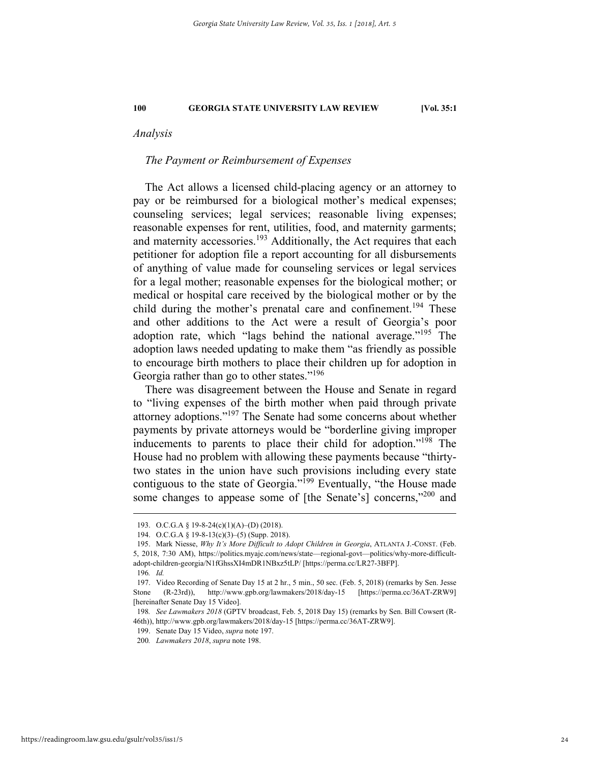# *Analysis*

# *The Payment or Reimbursement of Expenses*

The Act allows a licensed child-placing agency or an attorney to pay or be reimbursed for a biological mother's medical expenses; counseling services; legal services; reasonable living expenses; reasonable expenses for rent, utilities, food, and maternity garments; and maternity accessories.<sup>193</sup> Additionally, the Act requires that each petitioner for adoption file a report accounting for all disbursements of anything of value made for counseling services or legal services for a legal mother; reasonable expenses for the biological mother; or medical or hospital care received by the biological mother or by the child during the mother's prenatal care and confinement.<sup>194</sup> These and other additions to the Act were a result of Georgia's poor adoption rate, which "lags behind the national average."195 The adoption laws needed updating to make them "as friendly as possible to encourage birth mothers to place their children up for adoption in Georgia rather than go to other states."<sup>196</sup>

There was disagreement between the House and Senate in regard to "living expenses of the birth mother when paid through private attorney adoptions."197 The Senate had some concerns about whether payments by private attorneys would be "borderline giving improper inducements to parents to place their child for adoption."198 The House had no problem with allowing these payments because "thirtytwo states in the union have such provisions including every state contiguous to the state of Georgia."<sup>199</sup> Eventually, "the House made some changes to appease some of [the Senate's] concerns,"<sup>200</sup> and

 <sup>193.</sup> O.C.G.A § 19-8-24(c)(1)(A)–(D) (2018).

 <sup>194.</sup> O.C.G.A § 19-8-13(c)(3)–(5) (Supp. 2018).

 <sup>195.</sup> Mark Niesse, *Why It's More Difficult to Adopt Children in Georgia*, ATLANTA J.-CONST. (Feb. 5, 2018, 7:30 AM), https://politics.myajc.com/news/state—regional-govt—politics/why-more-difficultadopt-children-georgia/N1fGhssXI4mDR1NBxz5tLP/ [https://perma.cc/LR27-3BFP].

<sup>196</sup>*. Id.*

 <sup>197.</sup> Video Recording of Senate Day 15 at 2 hr., 5 min., 50 sec. (Feb. 5, 2018) (remarks by Sen. Jesse Stone (R-23rd)), http://www.gpb.org/lawmakers/2018/day-15 [https://perma.cc/36AT-ZRW9] [hereinafter Senate Day 15 Video].

<sup>198</sup>*. See Lawmakers 2018* (GPTV broadcast, Feb. 5, 2018 Day 15) (remarks by Sen. Bill Cowsert (R-46th)), http://www.gpb.org/lawmakers/2018/day-15 [https://perma.cc/36AT-ZRW9].

 <sup>199.</sup> Senate Day 15 Video, *supra* note 197.

<sup>200</sup>*. Lawmakers 2018*, *supra* note 198.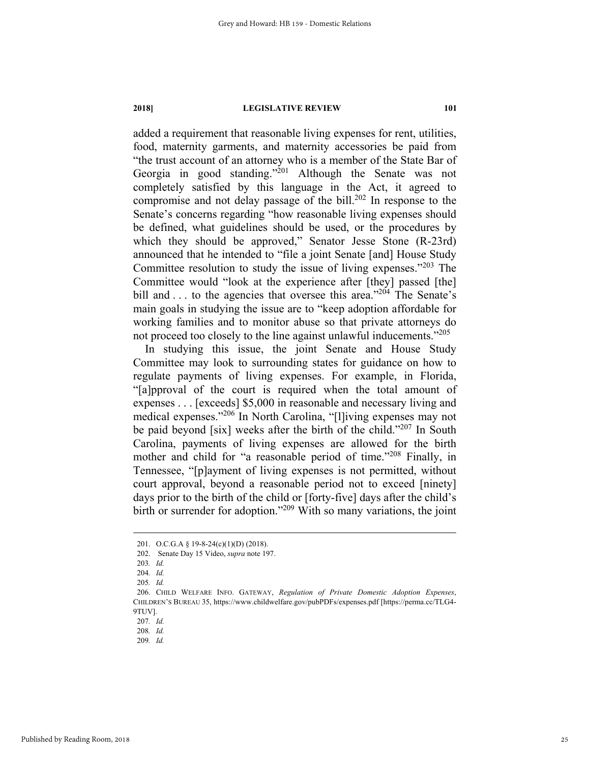added a requirement that reasonable living expenses for rent, utilities, food, maternity garments, and maternity accessories be paid from "the trust account of an attorney who is a member of the State Bar of Georgia in good standing."<sup>201</sup> Although the Senate was not completely satisfied by this language in the Act, it agreed to compromise and not delay passage of the bill.<sup>202</sup> In response to the Senate's concerns regarding "how reasonable living expenses should be defined, what guidelines should be used, or the procedures by which they should be approved," Senator Jesse Stone (R-23rd) announced that he intended to "file a joint Senate [and] House Study Committee resolution to study the issue of living expenses."203 The Committee would "look at the experience after [they] passed [the] bill and . . . to the agencies that oversee this area."<sup>204</sup> The Senate's main goals in studying the issue are to "keep adoption affordable for working families and to monitor abuse so that private attorneys do not proceed too closely to the line against unlawful inducements."<sup>205</sup>

In studying this issue, the joint Senate and House Study Committee may look to surrounding states for guidance on how to regulate payments of living expenses. For example, in Florida, "[a]pproval of the court is required when the total amount of expenses . . . [exceeds] \$5,000 in reasonable and necessary living and medical expenses."206 In North Carolina, "[l]iving expenses may not be paid beyond [six] weeks after the birth of the child."<sup>207</sup> In South Carolina, payments of living expenses are allowed for the birth mother and child for "a reasonable period of time."<sup>208</sup> Finally, in Tennessee, "[p]ayment of living expenses is not permitted, without court approval, beyond a reasonable period not to exceed [ninety] days prior to the birth of the child or [forty-five] days after the child's birth or surrender for adoption."<sup>209</sup> With so many variations, the joint

207*. Id.* 

 <sup>201.</sup> O.C.G.A § 19-8-24(c)(1)(D) (2018).

 <sup>202.</sup> Senate Day 15 Video, *supra* note 197.

<sup>203</sup>*. Id.* 

<sup>204</sup>*. Id.*

<sup>205</sup>*. Id.*

 <sup>206.</sup> CHILD WELFARE INFO. GATEWAY, *Regulation of Private Domestic Adoption Expenses*, CHILDREN'S BUREAU 35, https://www.childwelfare.gov/pubPDFs/expenses.pdf [https://perma.cc/TLG4- 9TUV].

<sup>208</sup>*. Id.* 

<sup>209</sup>*. Id.*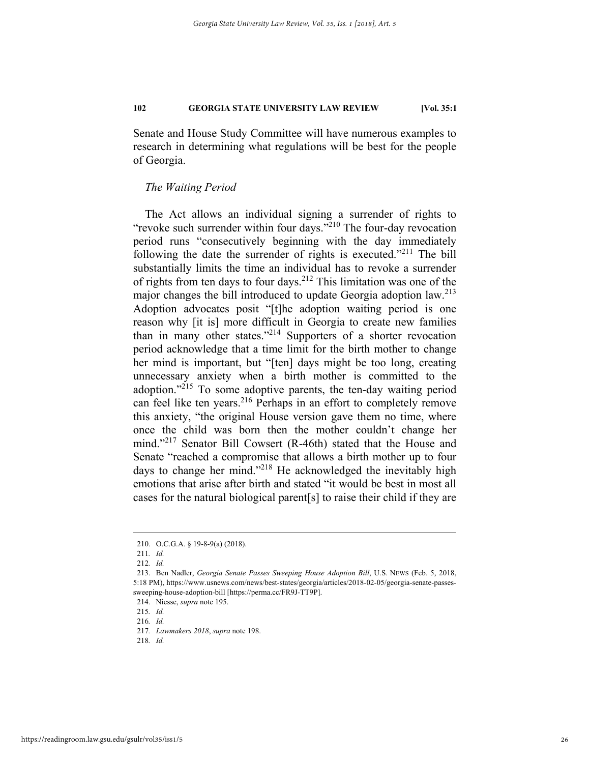Senate and House Study Committee will have numerous examples to research in determining what regulations will be best for the people of Georgia.

# *The Waiting Period*

The Act allows an individual signing a surrender of rights to "revoke such surrender within four days."<sup>210</sup> The four-day revocation period runs "consecutively beginning with the day immediately following the date the surrender of rights is executed."<sup>211</sup> The bill substantially limits the time an individual has to revoke a surrender of rights from ten days to four days.<sup>212</sup> This limitation was one of the major changes the bill introduced to update Georgia adoption law.<sup>213</sup> Adoption advocates posit "[t]he adoption waiting period is one reason why [it is] more difficult in Georgia to create new families than in many other states."214 Supporters of a shorter revocation period acknowledge that a time limit for the birth mother to change her mind is important, but "[ten] days might be too long, creating unnecessary anxiety when a birth mother is committed to the adoption."215 To some adoptive parents, the ten-day waiting period can feel like ten years.216 Perhaps in an effort to completely remove this anxiety, "the original House version gave them no time, where once the child was born then the mother couldn't change her mind."<sup>217</sup> Senator Bill Cowsert (R-46th) stated that the House and Senate "reached a compromise that allows a birth mother up to four days to change her mind."<sup>218</sup> He acknowledged the inevitably high emotions that arise after birth and stated "it would be best in most all cases for the natural biological parent[s] to raise their child if they are

 <sup>210.</sup> O.C.G.A. § 19-8-9(a) (2018).

<sup>211</sup>*. Id.* 

<sup>212</sup>*. Id.*

 <sup>213.</sup> Ben Nadler, *Georgia Senate Passes Sweeping House Adoption Bill*, U.S. NEWS (Feb. 5, 2018, 5:18 PM), https://www.usnews.com/news/best-states/georgia/articles/2018-02-05/georgia-senate-passessweeping-house-adoption-bill [https://perma.cc/FR9J-TT9P].

 <sup>214.</sup> Niesse, *supra* note 195.

<sup>215</sup>*. Id.* 

<sup>216</sup>*. Id.* 

<sup>217</sup>*. Lawmakers 2018*, *supra* note 198.

<sup>218</sup>*. Id.*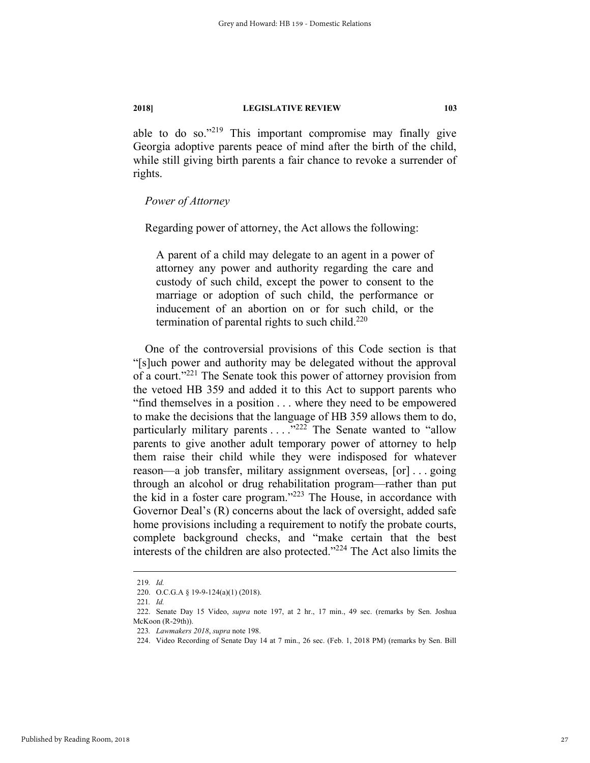able to do so."219 This important compromise may finally give Georgia adoptive parents peace of mind after the birth of the child, while still giving birth parents a fair chance to revoke a surrender of rights.

# *Power of Attorney*

Regarding power of attorney, the Act allows the following:

A parent of a child may delegate to an agent in a power of attorney any power and authority regarding the care and custody of such child, except the power to consent to the marriage or adoption of such child, the performance or inducement of an abortion on or for such child, or the termination of parental rights to such child. $220$ 

One of the controversial provisions of this Code section is that "[s]uch power and authority may be delegated without the approval of a court."221 The Senate took this power of attorney provision from the vetoed HB 359 and added it to this Act to support parents who "find themselves in a position . . . where they need to be empowered to make the decisions that the language of HB 359 allows them to do, particularly military parents  $\ldots$ .  $\frac{1}{222}$  The Senate wanted to "allow" parents to give another adult temporary power of attorney to help them raise their child while they were indisposed for whatever reason—a job transfer, military assignment overseas, [or] . . . going through an alcohol or drug rehabilitation program—rather than put the kid in a foster care program."<sup>223</sup> The House, in accordance with Governor Deal's (R) concerns about the lack of oversight, added safe home provisions including a requirement to notify the probate courts, complete background checks, and "make certain that the best interests of the children are also protected."224 The Act also limits the

 <sup>219</sup>*. Id.* 

 <sup>220.</sup> O.C.G.A § 19-9-124(a)(1) (2018).

<sup>221</sup>*. Id.* 

 <sup>222.</sup> Senate Day 15 Video, *supra* note 197, at 2 hr., 17 min., 49 sec. (remarks by Sen. Joshua McKoon (R-29th)).

<sup>223</sup>*. Lawmakers 2018*, *supra* note 198.

 <sup>224.</sup> Video Recording of Senate Day 14 at 7 min., 26 sec. (Feb. 1, 2018 PM) (remarks by Sen. Bill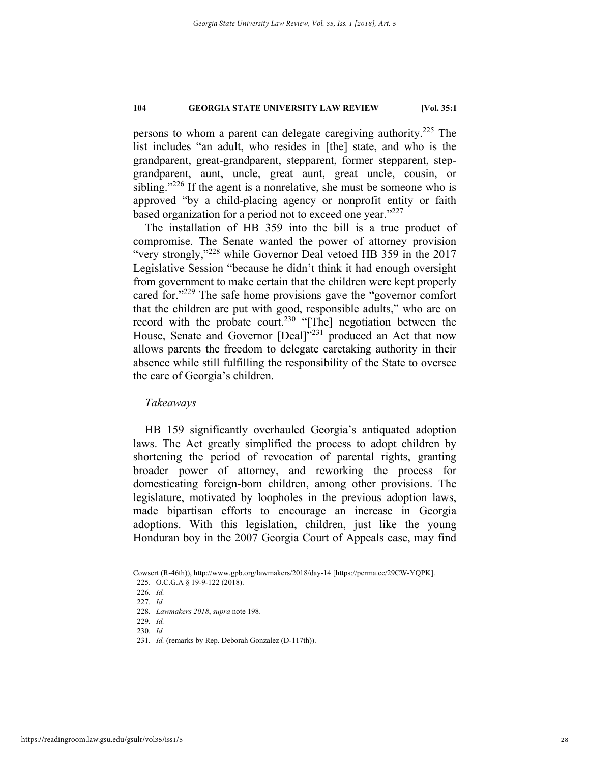persons to whom a parent can delegate caregiving authority.<sup>225</sup> The list includes "an adult, who resides in [the] state, and who is the grandparent, great-grandparent, stepparent, former stepparent, stepgrandparent, aunt, uncle, great aunt, great uncle, cousin, or sibling."<sup>226</sup> If the agent is a nonrelative, she must be someone who is approved "by a child-placing agency or nonprofit entity or faith based organization for a period not to exceed one year."<sup>227</sup>

The installation of HB 359 into the bill is a true product of compromise. The Senate wanted the power of attorney provision "very strongly,"228 while Governor Deal vetoed HB 359 in the 2017 Legislative Session "because he didn't think it had enough oversight from government to make certain that the children were kept properly cared for."<sup>229</sup> The safe home provisions gave the "governor comfort" that the children are put with good, responsible adults," who are on record with the probate court.<sup>230</sup> "[The] negotiation between the House, Senate and Governor [Deal]<sup>"231</sup> produced an Act that now allows parents the freedom to delegate caretaking authority in their absence while still fulfilling the responsibility of the State to oversee the care of Georgia's children.

# *Takeaways*

HB 159 significantly overhauled Georgia's antiquated adoption laws. The Act greatly simplified the process to adopt children by shortening the period of revocation of parental rights, granting broader power of attorney, and reworking the process for domesticating foreign-born children, among other provisions. The legislature, motivated by loopholes in the previous adoption laws, made bipartisan efforts to encourage an increase in Georgia adoptions. With this legislation, children, just like the young Honduran boy in the 2007 Georgia Court of Appeals case, may find

229*. Id.* 

Cowsert (R-46th)), http://www.gpb.org/lawmakers/2018/day-14 [https://perma.cc/29CW-YQPK]. 225. O.C.G.A § 19-9-122 (2018).

<sup>226</sup>*. Id.* 

<sup>227</sup>*. Id.* 

<sup>228</sup>*. Lawmakers 2018*, *supra* note 198.

<sup>230</sup>*. Id.* 

<sup>231</sup>*. Id.* (remarks by Rep. Deborah Gonzalez (D-117th)).